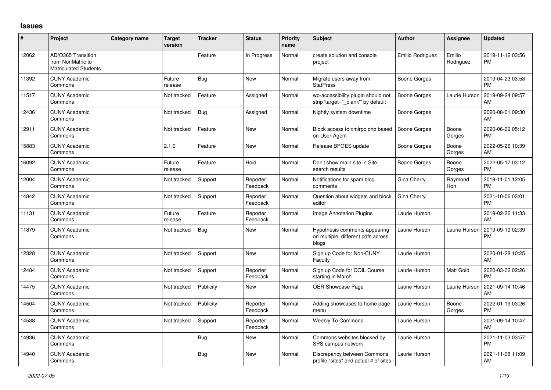## **Issues**

| #     | Project                                                                 | Category name | <b>Target</b><br>version | <b>Tracker</b> | <b>Status</b>        | <b>Priority</b><br>name | Subject                                                                      | <b>Author</b>       | Assignee              | <b>Updated</b>                |
|-------|-------------------------------------------------------------------------|---------------|--------------------------|----------------|----------------------|-------------------------|------------------------------------------------------------------------------|---------------------|-----------------------|-------------------------------|
| 12062 | AD/O365 Transition<br>from NonMatric to<br><b>Matriculated Students</b> |               |                          | Feature        | In Progress          | Normal                  | create solution and console<br>project                                       | Emilio Rodriguez    | Emilio<br>Rodriguez   | 2019-11-12 03:56<br><b>PM</b> |
| 11392 | <b>CUNY Academic</b><br>Commons                                         |               | Future<br>release        | Bug            | <b>New</b>           | Normal                  | Migrate users away from<br><b>StatPress</b>                                  | Boone Gorges        |                       | 2019-04-23 03:53<br><b>PM</b> |
| 11517 | <b>CUNY Academic</b><br>Commons                                         |               | Not tracked              | Feature        | Assigned             | Normal                  | wp-accessibility plugin should not<br>strip 'target=" blank" by default      | Boone Gorges        | Laurie Hurson         | 2019-09-24 09:57<br>AM        |
| 12436 | <b>CUNY Academic</b><br>Commons                                         |               | Not tracked              | Bug            | Assigned             | Normal                  | Nightly system downtime                                                      | Boone Gorges        |                       | 2020-08-01 09:30<br>AM        |
| 12911 | <b>CUNY Academic</b><br>Commons                                         |               | Not tracked              | Feature        | New                  | Normal                  | Block access to xmlrpc.php based<br>on User-Agent                            | <b>Boone Gorges</b> | Boone<br>Gorges       | 2020-06-09 05:12<br><b>PM</b> |
| 15883 | <b>CUNY Academic</b><br>Commons                                         |               | 2.1.0                    | Feature        | <b>New</b>           | Normal                  | Release BPGES update                                                         | <b>Boone Gorges</b> | Boone<br>Gorges       | 2022-05-26 10:39<br>AM        |
| 16092 | <b>CUNY Academic</b><br>Commons                                         |               | Future<br>release        | Feature        | Hold                 | Normal                  | Don't show main site in Site<br>search results                               | Boone Gorges        | Boone<br>Gorges       | 2022-05-17 03:12<br><b>PM</b> |
| 12004 | <b>CUNY Academic</b><br>Commons                                         |               | Not tracked              | Support        | Reporter<br>Feedback | Normal                  | Notifications for spam blog<br>comments                                      | Gina Cherry         | Raymond<br><b>Hoh</b> | 2019-11-01 12:05<br><b>PM</b> |
| 14842 | <b>CUNY Academic</b><br>Commons                                         |               | Not tracked              | Support        | Reporter<br>Feedback | Normal                  | Question about widgets and block<br>editor                                   | Gina Cherry         |                       | 2021-10-06 03:01<br><b>PM</b> |
| 11131 | <b>CUNY Academic</b><br>Commons                                         |               | Future<br>release        | Feature        | Reporter<br>Feedback | Normal                  | <b>Image Annotation Plugins</b>                                              | Laurie Hurson       |                       | 2019-02-26 11:33<br>AM        |
| 11879 | <b>CUNY Academic</b><br>Commons                                         |               | Not tracked              | Bug            | <b>New</b>           | Normal                  | Hypothesis comments appearing<br>on multiple, different pdfs across<br>blogs | Laurie Hurson       | Laurie Hurson         | 2019-09-19 02:39<br><b>PM</b> |
| 12328 | <b>CUNY Academic</b><br>Commons                                         |               | Not tracked              | Support        | <b>New</b>           | Normal                  | Sign up Code for Non-CUNY<br>Faculty                                         | Laurie Hurson       |                       | 2020-01-28 10:25<br>AM        |
| 12484 | <b>CUNY Academic</b><br>Commons                                         |               | Not tracked              | Support        | Reporter<br>Feedback | Normal                  | Sign up Code for COIL Course<br>starting in March                            | Laurie Hurson       | Matt Gold             | 2020-03-02 02:26<br><b>PM</b> |
| 14475 | <b>CUNY Academic</b><br>Commons                                         |               | Not tracked              | Publicity      | <b>New</b>           | Normal                  | <b>OER Showcase Page</b>                                                     | Laurie Hurson       | Laurie Hurson         | 2021-09-14 10:46<br>AM        |
| 14504 | <b>CUNY Academic</b><br>Commons                                         |               | Not tracked              | Publicity      | Reporter<br>Feedback | Normal                  | Adding showcases to home page<br>menu                                        | Laurie Hurson       | Boone<br>Gorges       | 2022-01-19 03:26<br><b>PM</b> |
| 14538 | <b>CUNY Academic</b><br>Commons                                         |               | Not tracked              | Support        | Reporter<br>Feedback | Normal                  | Weebly To Commons                                                            | Laurie Hurson       |                       | 2021-09-14 10:47<br>AM        |
| 14936 | <b>CUNY Academic</b><br>Commons                                         |               |                          | Bug            | New                  | Normal                  | Commons websites blocked by<br>SPS campus network                            | Laurie Hurson       |                       | 2021-11-03 03:57<br><b>PM</b> |
| 14940 | <b>CUNY Academic</b><br>Commons                                         |               |                          | <b>Bug</b>     | New                  | Normal                  | Discrepancy between Commons<br>profile "sites" and actual # of sites         | Laurie Hurson       |                       | 2021-11-08 11:09<br>AM        |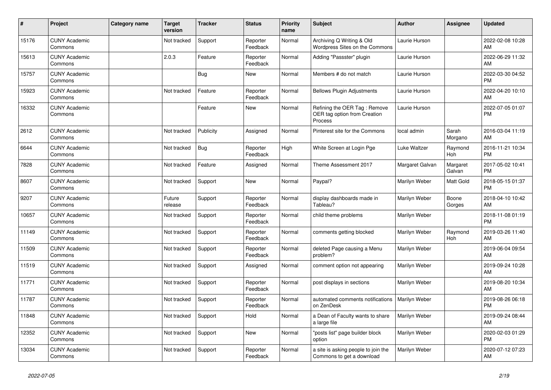| #     | Project                         | <b>Category name</b> | Target<br>version | <b>Tracker</b> | <b>Status</b>        | <b>Priority</b><br>name | <b>Subject</b>                                                          | <b>Author</b>   | <b>Assignee</b>    | <b>Updated</b>                |
|-------|---------------------------------|----------------------|-------------------|----------------|----------------------|-------------------------|-------------------------------------------------------------------------|-----------------|--------------------|-------------------------------|
| 15176 | <b>CUNY Academic</b><br>Commons |                      | Not tracked       | Support        | Reporter<br>Feedback | Normal                  | Archiving Q Writing & Old<br>Wordpress Sites on the Commons             | Laurie Hurson   |                    | 2022-02-08 10:28<br>AM        |
| 15613 | <b>CUNY Academic</b><br>Commons |                      | 2.0.3             | Feature        | Reporter<br>Feedback | Normal                  | Adding "Passster" plugin                                                | Laurie Hurson   |                    | 2022-06-29 11:32<br>AM        |
| 15757 | <b>CUNY Academic</b><br>Commons |                      |                   | <b>Bug</b>     | <b>New</b>           | Normal                  | Members # do not match                                                  | Laurie Hurson   |                    | 2022-03-30 04:52<br><b>PM</b> |
| 15923 | <b>CUNY Academic</b><br>Commons |                      | Not tracked       | Feature        | Reporter<br>Feedback | Normal                  | <b>Bellows Plugin Adjustments</b>                                       | Laurie Hurson   |                    | 2022-04-20 10:10<br>AM        |
| 16332 | <b>CUNY Academic</b><br>Commons |                      |                   | Feature        | <b>New</b>           | Normal                  | Refining the OER Tag: Remove<br>OER tag option from Creation<br>Process | Laurie Hurson   |                    | 2022-07-05 01:07<br><b>PM</b> |
| 2612  | <b>CUNY Academic</b><br>Commons |                      | Not tracked       | Publicity      | Assigned             | Normal                  | Pinterest site for the Commons                                          | local admin     | Sarah<br>Morgano   | 2016-03-04 11:19<br>AM        |
| 6644  | <b>CUNY Academic</b><br>Commons |                      | Not tracked       | Bug            | Reporter<br>Feedback | High                    | White Screen at Login Pge                                               | Luke Waltzer    | Raymond<br>Hoh     | 2016-11-21 10:34<br><b>PM</b> |
| 7828  | <b>CUNY Academic</b><br>Commons |                      | Not tracked       | Feature        | Assigned             | Normal                  | Theme Assessment 2017                                                   | Margaret Galvan | Margaret<br>Galvan | 2017-05-02 10:41<br><b>PM</b> |
| 8607  | <b>CUNY Academic</b><br>Commons |                      | Not tracked       | Support        | New                  | Normal                  | Paypal?                                                                 | Marilyn Weber   | Matt Gold          | 2018-05-15 01:37<br><b>PM</b> |
| 9207  | <b>CUNY Academic</b><br>Commons |                      | Future<br>release | Support        | Reporter<br>Feedback | Normal                  | display dashboards made in<br>Tableau?                                  | Marilyn Weber   | Boone<br>Gorges    | 2018-04-10 10:42<br>AM        |
| 10657 | <b>CUNY Academic</b><br>Commons |                      | Not tracked       | Support        | Reporter<br>Feedback | Normal                  | child theme problems                                                    | Marilyn Weber   |                    | 2018-11-08 01:19<br><b>PM</b> |
| 11149 | <b>CUNY Academic</b><br>Commons |                      | Not tracked       | Support        | Reporter<br>Feedback | Normal                  | comments getting blocked                                                | Marilyn Weber   | Raymond<br>Hoh     | 2019-03-26 11:40<br>AM        |
| 11509 | <b>CUNY Academic</b><br>Commons |                      | Not tracked       | Support        | Reporter<br>Feedback | Normal                  | deleted Page causing a Menu<br>problem?                                 | Marilyn Weber   |                    | 2019-06-04 09:54<br>AM        |
| 11519 | <b>CUNY Academic</b><br>Commons |                      | Not tracked       | Support        | Assigned             | Normal                  | comment option not appearing                                            | Marilyn Weber   |                    | 2019-09-24 10:28<br>AM        |
| 11771 | <b>CUNY Academic</b><br>Commons |                      | Not tracked       | Support        | Reporter<br>Feedback | Normal                  | post displays in sections                                               | Marilyn Weber   |                    | 2019-08-20 10:34<br>AM        |
| 11787 | <b>CUNY Academic</b><br>Commons |                      | Not tracked       | Support        | Reporter<br>Feedback | Normal                  | automated comments notifications<br>on ZenDesk                          | Marilyn Weber   |                    | 2019-08-26 06:18<br><b>PM</b> |
| 11848 | <b>CUNY Academic</b><br>Commons |                      | Not tracked       | Support        | Hold                 | Normal                  | a Dean of Faculty wants to share<br>a large file                        | Marilyn Weber   |                    | 2019-09-24 08:44<br>AM        |
| 12352 | <b>CUNY Academic</b><br>Commons |                      | Not tracked       | Support        | <b>New</b>           | Normal                  | "posts list" page builder block<br>option                               | Marilyn Weber   |                    | 2020-02-03 01:29<br><b>PM</b> |
| 13034 | <b>CUNY Academic</b><br>Commons |                      | Not tracked       | Support        | Reporter<br>Feedback | Normal                  | a site is asking people to join the<br>Commons to get a download        | Marilyn Weber   |                    | 2020-07-12 07:23<br>AM        |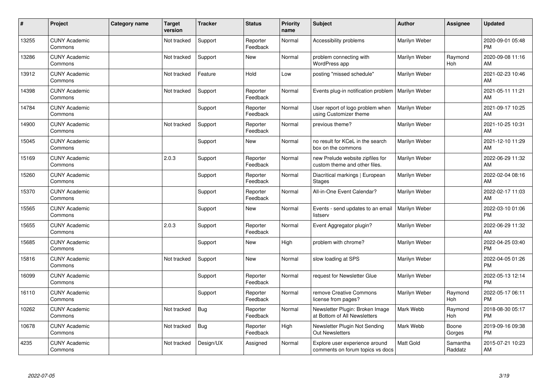| #     | Project                         | <b>Category name</b> | <b>Target</b><br>version | <b>Tracker</b> | <b>Status</b>        | Priority<br>name | <b>Subject</b>                                                     | <b>Author</b>    | Assignee              | <b>Updated</b>                |
|-------|---------------------------------|----------------------|--------------------------|----------------|----------------------|------------------|--------------------------------------------------------------------|------------------|-----------------------|-------------------------------|
| 13255 | <b>CUNY Academic</b><br>Commons |                      | Not tracked              | Support        | Reporter<br>Feedback | Normal           | Accessibility problems                                             | Marilyn Weber    |                       | 2020-09-01 05:48<br><b>PM</b> |
| 13286 | <b>CUNY Academic</b><br>Commons |                      | Not tracked              | Support        | <b>New</b>           | Normal           | problem connecting with<br>WordPress app                           | Marilyn Weber    | Raymond<br>Hoh        | 2020-09-08 11:16<br>AM        |
| 13912 | <b>CUNY Academic</b><br>Commons |                      | Not tracked              | Feature        | Hold                 | Low              | posting "missed schedule"                                          | Marilyn Weber    |                       | 2021-02-23 10:46<br>AM        |
| 14398 | <b>CUNY Academic</b><br>Commons |                      | Not tracked              | Support        | Reporter<br>Feedback | Normal           | Events plug-in notification problem                                | Marilyn Weber    |                       | 2021-05-11 11:21<br>AM        |
| 14784 | <b>CUNY Academic</b><br>Commons |                      |                          | Support        | Reporter<br>Feedback | Normal           | User report of logo problem when<br>using Customizer theme         | Marilyn Weber    |                       | 2021-09-17 10:25<br>AM        |
| 14900 | <b>CUNY Academic</b><br>Commons |                      | Not tracked              | Support        | Reporter<br>Feedback | Normal           | previous theme?                                                    | Marilyn Weber    |                       | 2021-10-25 10:31<br>AM        |
| 15045 | <b>CUNY Academic</b><br>Commons |                      |                          | Support        | <b>New</b>           | Normal           | no result for KCeL in the search<br>box on the commons             | Marilyn Weber    |                       | 2021-12-10 11:29<br>AM        |
| 15169 | <b>CUNY Academic</b><br>Commons |                      | 2.0.3                    | Support        | Reporter<br>Feedback | Normal           | new Prelude website zipfiles for<br>custom theme and other files.  | Marilyn Weber    |                       | 2022-06-29 11:32<br>AM        |
| 15260 | <b>CUNY Academic</b><br>Commons |                      |                          | Support        | Reporter<br>Feedback | Normal           | Diacritical markings   European<br><b>Stages</b>                   | Marilyn Weber    |                       | 2022-02-04 08:16<br>AM        |
| 15370 | <b>CUNY Academic</b><br>Commons |                      |                          | Support        | Reporter<br>Feedback | Normal           | All-in-One Event Calendar?                                         | Marilyn Weber    |                       | 2022-02-17 11:03<br>AM        |
| 15565 | <b>CUNY Academic</b><br>Commons |                      |                          | Support        | New                  | Normal           | Events - send updates to an email<br>listserv                      | Marilyn Weber    |                       | 2022-03-10 01:06<br><b>PM</b> |
| 15655 | <b>CUNY Academic</b><br>Commons |                      | 2.0.3                    | Support        | Reporter<br>Feedback | Normal           | Event Aggregator plugin?                                           | Marilyn Weber    |                       | 2022-06-29 11:32<br>AM        |
| 15685 | <b>CUNY Academic</b><br>Commons |                      |                          | Support        | <b>New</b>           | High             | problem with chrome?                                               | Marilyn Weber    |                       | 2022-04-25 03:40<br><b>PM</b> |
| 15816 | <b>CUNY Academic</b><br>Commons |                      | Not tracked              | Support        | <b>New</b>           | Normal           | slow loading at SPS                                                | Marilyn Weber    |                       | 2022-04-05 01:26<br><b>PM</b> |
| 16099 | <b>CUNY Academic</b><br>Commons |                      |                          | Support        | Reporter<br>Feedback | Normal           | request for Newsletter Glue                                        | Marilyn Weber    |                       | 2022-05-13 12:14<br><b>PM</b> |
| 16110 | <b>CUNY Academic</b><br>Commons |                      |                          | Support        | Reporter<br>Feedback | Normal           | remove Creative Commons<br>license from pages?                     | Marilyn Weber    | Raymond<br><b>Hoh</b> | 2022-05-17 06:11<br><b>PM</b> |
| 10262 | <b>CUNY Academic</b><br>Commons |                      | Not tracked              | Bug            | Reporter<br>Feedback | Normal           | Newsletter Plugin: Broken Image<br>at Bottom of All Newsletters    | Mark Webb        | Raymond<br>Hoh        | 2018-08-30 05:17<br><b>PM</b> |
| 10678 | <b>CUNY Academic</b><br>Commons |                      | Not tracked              | Bug            | Reporter<br>Feedback | High             | Newsletter Plugin Not Sending<br><b>Out Newsletters</b>            | Mark Webb        | Boone<br>Gorges       | 2019-09-16 09:38<br><b>PM</b> |
| 4235  | <b>CUNY Academic</b><br>Commons |                      | Not tracked              | Design/UX      | Assigned             | Normal           | Explore user experience around<br>comments on forum topics vs docs | <b>Matt Gold</b> | Samantha<br>Raddatz   | 2015-07-21 10:23<br>AM        |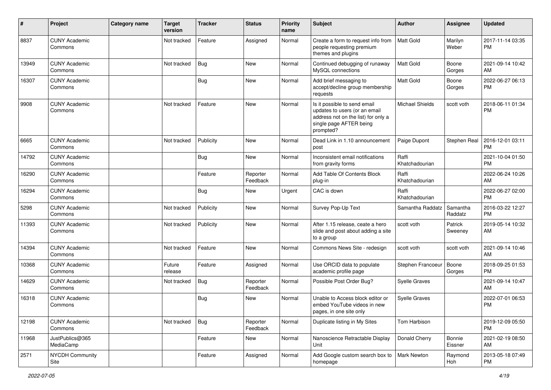| #     | Project                         | <b>Category name</b> | <b>Target</b><br>version | <b>Tracker</b> | <b>Status</b>        | <b>Priority</b><br>name | Subject                                                                                                                                      | Author                  | <b>Assignee</b>     | <b>Updated</b>                |
|-------|---------------------------------|----------------------|--------------------------|----------------|----------------------|-------------------------|----------------------------------------------------------------------------------------------------------------------------------------------|-------------------------|---------------------|-------------------------------|
| 8837  | <b>CUNY Academic</b><br>Commons |                      | Not tracked              | Feature        | Assigned             | Normal                  | Create a form to request info from<br>people requesting premium<br>themes and plugins                                                        | <b>Matt Gold</b>        | Marilyn<br>Weber    | 2017-11-14 03:35<br><b>PM</b> |
| 13949 | <b>CUNY Academic</b><br>Commons |                      | Not tracked              | <b>Bug</b>     | <b>New</b>           | Normal                  | Continued debugging of runaway<br>MySQL connections                                                                                          | Matt Gold               | Boone<br>Gorges     | 2021-09-14 10:42<br>AM        |
| 16307 | <b>CUNY Academic</b><br>Commons |                      |                          | Bug            | New                  | Normal                  | Add brief messaging to<br>accept/decline group membership<br>requests                                                                        | Matt Gold               | Boone<br>Gorges     | 2022-06-27 06:13<br><b>PM</b> |
| 9908  | <b>CUNY Academic</b><br>Commons |                      | Not tracked              | Feature        | New                  | Normal                  | Is it possible to send email<br>updates to users (or an email<br>address not on the list) for only a<br>single page AFTER being<br>prompted? | <b>Michael Shields</b>  | scott voth          | 2018-06-11 01:34<br><b>PM</b> |
| 6665  | <b>CUNY Academic</b><br>Commons |                      | Not tracked              | Publicity      | <b>New</b>           | Normal                  | Dead Link in 1.10 announcement<br>post                                                                                                       | Paige Dupont            | Stephen Real        | 2016-12-01 03:11<br><b>PM</b> |
| 14792 | <b>CUNY Academic</b><br>Commons |                      |                          | <b>Bug</b>     | <b>New</b>           | Normal                  | Inconsistent email notifications<br>from gravity forms                                                                                       | Raffi<br>Khatchadourian |                     | 2021-10-04 01:50<br><b>PM</b> |
| 16290 | <b>CUNY Academic</b><br>Commons |                      |                          | Feature        | Reporter<br>Feedback | Normal                  | Add Table Of Contents Block<br>plug-in                                                                                                       | Raffi<br>Khatchadourian |                     | 2022-06-24 10:26<br>AM        |
| 16294 | <b>CUNY Academic</b><br>Commons |                      |                          | Bug            | New                  | Urgent                  | CAC is down                                                                                                                                  | Raffi<br>Khatchadourian |                     | 2022-06-27 02:00<br><b>PM</b> |
| 5298  | <b>CUNY Academic</b><br>Commons |                      | Not tracked              | Publicity      | <b>New</b>           | Normal                  | Survey Pop-Up Text                                                                                                                           | Samantha Raddatz        | Samantha<br>Raddatz | 2016-03-22 12:27<br><b>PM</b> |
| 11393 | <b>CUNY Academic</b><br>Commons |                      | Not tracked              | Publicity      | <b>New</b>           | Normal                  | After 1.15 release, ceate a hero<br>slide and post about adding a site<br>to a group                                                         | scott voth              | Patrick<br>Sweeney  | 2019-05-14 10:32<br>AM        |
| 14394 | <b>CUNY Academic</b><br>Commons |                      | Not tracked              | Feature        | <b>New</b>           | Normal                  | Commons News Site - redesign                                                                                                                 | scott voth              | scott voth          | 2021-09-14 10:46<br>AM        |
| 10368 | <b>CUNY Academic</b><br>Commons |                      | Future<br>release        | Feature        | Assigned             | Normal                  | Use ORCID data to populate<br>academic profile page                                                                                          | Stephen Francoeur       | Boone<br>Gorges     | 2018-09-25 01:53<br><b>PM</b> |
| 14629 | <b>CUNY Academic</b><br>Commons |                      | Not tracked              | Bug            | Reporter<br>Feedback | Normal                  | Possible Post Order Bug?                                                                                                                     | Syelle Graves           |                     | 2021-09-14 10:47<br>AM        |
| 16318 | <b>CUNY Academic</b><br>Commons |                      |                          | <b>Bug</b>     | New                  | Normal                  | Unable to Access block editor or<br>embed YouTube videos in new<br>pages, in one site only                                                   | Syelle Graves           |                     | 2022-07-01 06:53<br><b>PM</b> |
| 12198 | <b>CUNY Academic</b><br>Commons |                      | Not tracked              | Bug            | Reporter<br>Feedback | Normal                  | Duplicate listing in My Sites                                                                                                                | Tom Harbison            |                     | 2019-12-09 05:50<br>PM        |
| 11968 | JustPublics@365<br>MediaCamp    |                      |                          | Feature        | New                  | Normal                  | Nanoscience Retractable Display<br>Unit                                                                                                      | Donald Cherry           | Bonnie<br>Eissner   | 2021-02-19 08:50<br>AM        |
| 2571  | NYCDH Community<br>Site         |                      |                          | Feature        | Assigned             | Normal                  | Add Google custom search box to<br>homepage                                                                                                  | Mark Newton             | Raymond<br>Hoh      | 2013-05-18 07:49<br>PM        |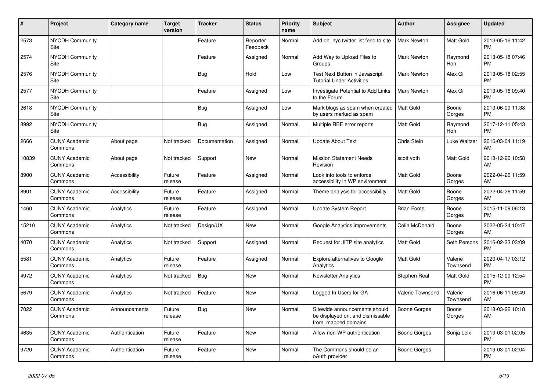| #     | Project                         | <b>Category name</b> | <b>Target</b><br>version | <b>Tracker</b> | <b>Status</b>        | <b>Priority</b><br>name | <b>Subject</b>                                                                            | <b>Author</b>           | <b>Assignee</b>     | <b>Updated</b>                |
|-------|---------------------------------|----------------------|--------------------------|----------------|----------------------|-------------------------|-------------------------------------------------------------------------------------------|-------------------------|---------------------|-------------------------------|
| 2573  | <b>NYCDH Community</b><br>Site  |                      |                          | Feature        | Reporter<br>Feedback | Normal                  | Add dh nyc twitter list feed to site                                                      | <b>Mark Newton</b>      | Matt Gold           | 2013-05-16 11:42<br><b>PM</b> |
| 2574  | <b>NYCDH Community</b><br>Site  |                      |                          | Feature        | Assigned             | Normal                  | Add Way to Upload Files to<br>Groups                                                      | Mark Newton             | Raymond<br>Hoh      | 2013-05-18 07:46<br><b>PM</b> |
| 2576  | <b>NYCDH Community</b><br>Site  |                      |                          | <b>Bug</b>     | Hold                 | Low                     | Test Next Button in Javascript<br><b>Tutorial Under Activities</b>                        | <b>Mark Newton</b>      | Alex Gil            | 2013-05-18 02:55<br><b>PM</b> |
| 2577  | <b>NYCDH Community</b><br>Site  |                      |                          | Feature        | Assigned             | Low                     | Investigate Potential to Add Links<br>to the Forum                                        | <b>Mark Newton</b>      | Alex Gil            | 2013-05-16 09:40<br><b>PM</b> |
| 2618  | <b>NYCDH Community</b><br>Site  |                      |                          | Bug            | Assigned             | Low                     | Mark blogs as spam when created<br>by users marked as spam                                | Matt Gold               | Boone<br>Gorges     | 2013-06-09 11:38<br><b>PM</b> |
| 8992  | <b>NYCDH Community</b><br>Site  |                      |                          | <b>Bug</b>     | Assigned             | Normal                  | Multiple RBE error reports                                                                | Matt Gold               | Raymond<br>Hoh      | 2017-12-11 05:43<br><b>PM</b> |
| 2666  | <b>CUNY Academic</b><br>Commons | About page           | Not tracked              | Documentation  | Assigned             | Normal                  | <b>Update About Text</b>                                                                  | Chris Stein             | Luke Waltzer        | 2016-03-04 11:19<br>AM        |
| 10839 | <b>CUNY Academic</b><br>Commons | About page           | Not tracked              | Support        | <b>New</b>           | Normal                  | <b>Mission Statement Needs</b><br>Revision                                                | scott voth              | Matt Gold           | 2018-12-26 10:58<br>AM        |
| 8900  | <b>CUNY Academic</b><br>Commons | Accessibility        | Future<br>release        | Feature        | Assigned             | Normal                  | Look into tools to enforce<br>accessibility in WP environment                             | <b>Matt Gold</b>        | Boone<br>Gorges     | 2022-04-26 11:59<br>AM        |
| 8901  | <b>CUNY Academic</b><br>Commons | Accessibility        | Future<br>release        | Feature        | Assigned             | Normal                  | Theme analysis for accessibility                                                          | <b>Matt Gold</b>        | Boone<br>Gorges     | 2022-04-26 11:59<br>AM        |
| 1460  | <b>CUNY Academic</b><br>Commons | Analytics            | Future<br>release        | Feature        | Assigned             | Normal                  | <b>Update System Report</b>                                                               | <b>Brian Foote</b>      | Boone<br>Gorges     | 2015-11-09 06:13<br><b>PM</b> |
| 15210 | <b>CUNY Academic</b><br>Commons | Analytics            | Not tracked              | Design/UX      | New                  | Normal                  | Google Analytics improvements                                                             | Colin McDonald          | Boone<br>Gorges     | 2022-05-24 10:47<br>AM        |
| 4070  | <b>CUNY Academic</b><br>Commons | Analytics            | Not tracked              | Support        | Assigned             | Normal                  | Request for JITP site analytics                                                           | Matt Gold               | Seth Persons        | 2016-02-23 03:09<br><b>PM</b> |
| 5581  | <b>CUNY Academic</b><br>Commons | Analytics            | Future<br>release        | Feature        | Assigned             | Normal                  | <b>Explore alternatives to Google</b><br>Analytics                                        | <b>Matt Gold</b>        | Valerie<br>Townsend | 2020-04-17 03:12<br><b>PM</b> |
| 4972  | <b>CUNY Academic</b><br>Commons | Analytics            | Not tracked              | <b>Bug</b>     | <b>New</b>           | Normal                  | <b>Newsletter Analytics</b>                                                               | Stephen Real            | Matt Gold           | 2015-12-09 12:54<br><b>PM</b> |
| 5679  | <b>CUNY Academic</b><br>Commons | Analytics            | Not tracked              | Feature        | New                  | Normal                  | Logged In Users for GA                                                                    | <b>Valerie Townsend</b> | Valerie<br>Townsend | 2016-06-11 09:49<br>AM        |
| 7022  | <b>CUNY Academic</b><br>Commons | Announcements        | Future<br>release        | <b>Bug</b>     | New                  | Normal                  | Sitewide announcements should<br>be displayed on, and dismissable<br>from, mapped domains | Boone Gorges            | Boone<br>Gorges     | 2018-03-22 10:18<br>AM        |
| 4635  | <b>CUNY Academic</b><br>Commons | Authentication       | Future<br>release        | Feature        | New                  | Normal                  | Allow non-WP authentication                                                               | Boone Gorges            | Sonja Leix          | 2019-03-01 02:05<br><b>PM</b> |
| 9720  | <b>CUNY Academic</b><br>Commons | Authentication       | Future<br>release        | Feature        | <b>New</b>           | Normal                  | The Commons should be an<br>oAuth provider                                                | Boone Gorges            |                     | 2019-03-01 02:04<br><b>PM</b> |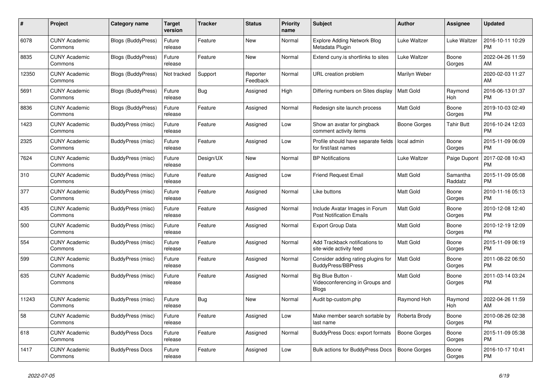| #     | Project                         | Category name             | Target<br>version | Tracker   | <b>Status</b>        | <b>Priority</b><br>name | <b>Subject</b>                                                    | <b>Author</b>       | Assignee            | <b>Updated</b>                |
|-------|---------------------------------|---------------------------|-------------------|-----------|----------------------|-------------------------|-------------------------------------------------------------------|---------------------|---------------------|-------------------------------|
| 6078  | <b>CUNY Academic</b><br>Commons | <b>Blogs (BuddyPress)</b> | Future<br>release | Feature   | <b>New</b>           | Normal                  | <b>Explore Adding Network Blog</b><br>Metadata Plugin             | Luke Waltzer        | Luke Waltzer        | 2016-10-11 10:29<br><b>PM</b> |
| 8835  | <b>CUNY Academic</b><br>Commons | <b>Blogs (BuddyPress)</b> | Future<br>release | Feature   | New                  | Normal                  | Extend cuny is shortlinks to sites                                | Luke Waltzer        | Boone<br>Gorges     | 2022-04-26 11:59<br>AM        |
| 12350 | <b>CUNY Academic</b><br>Commons | Blogs (BuddyPress)        | Not tracked       | Support   | Reporter<br>Feedback | Normal                  | URL creation problem                                              | Marilyn Weber       |                     | 2020-02-03 11:27<br>AM        |
| 5691  | <b>CUNY Academic</b><br>Commons | Blogs (BuddyPress)        | Future<br>release | Bug       | Assigned             | High                    | Differing numbers on Sites display                                | <b>Matt Gold</b>    | Raymond<br>Hoh      | 2016-06-13 01:37<br><b>PM</b> |
| 8836  | <b>CUNY Academic</b><br>Commons | <b>Blogs (BuddyPress)</b> | Future<br>release | Feature   | Assigned             | Normal                  | Redesign site launch process                                      | Matt Gold           | Boone<br>Gorges     | 2019-10-03 02:49<br><b>PM</b> |
| 1423  | <b>CUNY Academic</b><br>Commons | BuddyPress (misc)         | Future<br>release | Feature   | Assigned             | Low                     | Show an avatar for pingback<br>comment activity items             | Boone Gorges        | <b>Tahir Butt</b>   | 2016-10-24 12:03<br><b>PM</b> |
| 2325  | <b>CUNY Academic</b><br>Commons | BuddyPress (misc)         | Future<br>release | Feature   | Assigned             | Low                     | Profile should have separate fields<br>for first/last names       | local admin         | Boone<br>Gorges     | 2015-11-09 06:09<br><b>PM</b> |
| 7624  | <b>CUNY Academic</b><br>Commons | BuddyPress (misc)         | Future<br>release | Design/UX | <b>New</b>           | Normal                  | <b>BP</b> Notifications                                           | Luke Waltzer        | Paige Dupont        | 2017-02-08 10:43<br><b>PM</b> |
| 310   | <b>CUNY Academic</b><br>Commons | BuddyPress (misc)         | Future<br>release | Feature   | Assigned             | Low                     | <b>Friend Request Email</b>                                       | Matt Gold           | Samantha<br>Raddatz | 2015-11-09 05:08<br><b>PM</b> |
| 377   | <b>CUNY Academic</b><br>Commons | BuddyPress (misc)         | Future<br>release | Feature   | Assigned             | Normal                  | Like buttons                                                      | Matt Gold           | Boone<br>Gorges     | 2010-11-16 05:13<br><b>PM</b> |
| 435   | <b>CUNY Academic</b><br>Commons | BuddyPress (misc)         | Future<br>release | Feature   | Assigned             | Normal                  | Include Avatar Images in Forum<br><b>Post Notification Emails</b> | Matt Gold           | Boone<br>Gorges     | 2010-12-08 12:40<br><b>PM</b> |
| 500   | <b>CUNY Academic</b><br>Commons | BuddyPress (misc)         | Future<br>release | Feature   | Assigned             | Normal                  | <b>Export Group Data</b>                                          | Matt Gold           | Boone<br>Gorges     | 2010-12-19 12:09<br><b>PM</b> |
| 554   | <b>CUNY Academic</b><br>Commons | BuddyPress (misc)         | Future<br>release | Feature   | Assigned             | Normal                  | Add Trackback notifications to<br>site-wide activity feed         | <b>Matt Gold</b>    | Boone<br>Gorges     | 2015-11-09 06:19<br><b>PM</b> |
| 599   | <b>CUNY Academic</b><br>Commons | BuddyPress (misc)         | Future<br>release | Feature   | Assigned             | Normal                  | Consider adding rating plugins for<br><b>BuddyPress/BBPress</b>   | <b>Matt Gold</b>    | Boone<br>Gorges     | 2011-08-22 06:50<br><b>PM</b> |
| 635   | <b>CUNY Academic</b><br>Commons | BuddyPress (misc)         | Future<br>release | Feature   | Assigned             | Normal                  | Big Blue Button -<br>Videoconferencing in Groups and<br>Blogs     | <b>Matt Gold</b>    | Boone<br>Gorges     | 2011-03-14 03:24<br><b>PM</b> |
| 11243 | <b>CUNY Academic</b><br>Commons | BuddyPress (misc)         | Future<br>release | Bug       | <b>New</b>           | Normal                  | Audit bp-custom.php                                               | Raymond Hoh         | Raymond<br>Hoh      | 2022-04-26 11:59<br>AM        |
| 58    | <b>CUNY Academic</b><br>Commons | BuddyPress (misc)         | Future<br>release | Feature   | Assigned             | Low                     | Make member search sortable by<br>last name                       | Roberta Brody       | Boone<br>Gorges     | 2010-08-26 02:38<br><b>PM</b> |
| 618   | <b>CUNY Academic</b><br>Commons | <b>BuddyPress Docs</b>    | Future<br>release | Feature   | Assigned             | Normal                  | <b>BuddyPress Docs: export formats</b>                            | <b>Boone Gorges</b> | Boone<br>Gorges     | 2015-11-09 05:38<br><b>PM</b> |
| 1417  | <b>CUNY Academic</b><br>Commons | <b>BuddyPress Docs</b>    | Future<br>release | Feature   | Assigned             | Low                     | <b>Bulk actions for BuddyPress Docs</b>                           | <b>Boone Gorges</b> | Boone<br>Gorges     | 2016-10-17 10:41<br><b>PM</b> |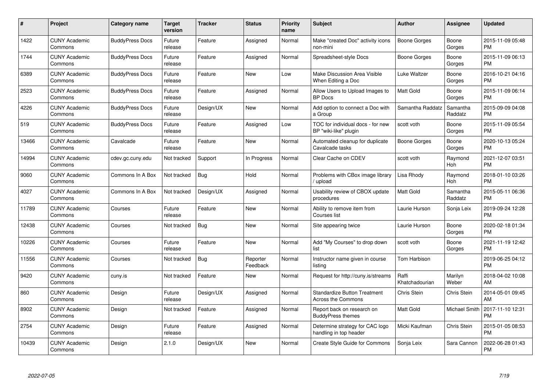| #     | Project                         | <b>Category name</b>   | <b>Target</b><br>version | <b>Tracker</b> | <b>Status</b>        | <b>Priority</b><br>name | <b>Subject</b>                                             | <b>Author</b>           | Assignee            | <b>Updated</b>                |
|-------|---------------------------------|------------------------|--------------------------|----------------|----------------------|-------------------------|------------------------------------------------------------|-------------------------|---------------------|-------------------------------|
| 1422  | <b>CUNY Academic</b><br>Commons | <b>BuddyPress Docs</b> | Future<br>release        | Feature        | Assigned             | Normal                  | Make "created Doc" activity icons<br>non-mini              | <b>Boone Gorges</b>     | Boone<br>Gorges     | 2015-11-09 05:48<br><b>PM</b> |
| 1744  | <b>CUNY Academic</b><br>Commons | <b>BuddyPress Docs</b> | Future<br>release        | Feature        | Assigned             | Normal                  | Spreadsheet-style Docs                                     | Boone Gorges            | Boone<br>Gorges     | 2015-11-09 06:13<br><b>PM</b> |
| 6389  | <b>CUNY Academic</b><br>Commons | <b>BuddyPress Docs</b> | Future<br>release        | Feature        | New                  | Low                     | Make Discussion Area Visible<br>When Editing a Doc         | Luke Waltzer            | Boone<br>Gorges     | 2016-10-21 04:16<br><b>PM</b> |
| 2523  | <b>CUNY Academic</b><br>Commons | <b>BuddyPress Docs</b> | Future<br>release        | Feature        | Assigned             | Normal                  | Allow Users to Upload Images to<br><b>BP</b> Docs          | <b>Matt Gold</b>        | Boone<br>Gorges     | 2015-11-09 06:14<br><b>PM</b> |
| 4226  | <b>CUNY Academic</b><br>Commons | <b>BuddyPress Docs</b> | Future<br>release        | Design/UX      | <b>New</b>           | Normal                  | Add option to connect a Doc with<br>a Group                | Samantha Raddatz        | Samantha<br>Raddatz | 2015-09-09 04:08<br><b>PM</b> |
| 519   | <b>CUNY Academic</b><br>Commons | <b>BuddyPress Docs</b> | Future<br>release        | Feature        | Assigned             | Low                     | TOC for individual docs - for new<br>BP "wiki-like" plugin | scott voth              | Boone<br>Gorges     | 2015-11-09 05:54<br><b>PM</b> |
| 13466 | <b>CUNY Academic</b><br>Commons | Cavalcade              | Future<br>release        | Feature        | New                  | Normal                  | Automated cleanup for duplicate<br>Cavalcade tasks         | Boone Gorges            | Boone<br>Gorges     | 2020-10-13 05:24<br><b>PM</b> |
| 14994 | <b>CUNY Academic</b><br>Commons | cdev.gc.cuny.edu       | Not tracked              | Support        | In Progress          | Normal                  | Clear Cache on CDEV                                        | scott voth              | Raymond<br>Hoh      | 2021-12-07 03:51<br><b>PM</b> |
| 9060  | <b>CUNY Academic</b><br>Commons | Commons In A Box       | Not tracked              | Bug            | Hold                 | Normal                  | Problems with CBox image library<br>/ upload               | Lisa Rhody              | Raymond<br>Hoh      | 2018-01-10 03:26<br><b>PM</b> |
| 4027  | <b>CUNY Academic</b><br>Commons | Commons In A Box       | Not tracked              | Design/UX      | Assigned             | Normal                  | Usability review of CBOX update<br>procedures              | Matt Gold               | Samantha<br>Raddatz | 2015-05-11 06:36<br><b>PM</b> |
| 11789 | <b>CUNY Academic</b><br>Commons | Courses                | Future<br>release        | Feature        | New                  | Normal                  | Ability to remove item from<br>Courses list                | Laurie Hurson           | Sonja Leix          | 2019-09-24 12:28<br><b>PM</b> |
| 12438 | <b>CUNY Academic</b><br>Commons | Courses                | Not tracked              | <b>Bug</b>     | <b>New</b>           | Normal                  | Site appearing twice                                       | Laurie Hurson           | Boone<br>Gorges     | 2020-02-18 01:34<br><b>PM</b> |
| 10226 | <b>CUNY Academic</b><br>Commons | Courses                | Future<br>release        | Feature        | New                  | Normal                  | Add "My Courses" to drop down<br>list                      | scott voth              | Boone<br>Gorges     | 2021-11-19 12:42<br><b>PM</b> |
| 11556 | <b>CUNY Academic</b><br>Commons | Courses                | Not tracked              | Bug            | Reporter<br>Feedback | Normal                  | Instructor name given in course<br>listing                 | Tom Harbison            |                     | 2019-06-25 04:12<br><b>PM</b> |
| 9420  | <b>CUNY Academic</b><br>Commons | cuny.is                | Not tracked              | Feature        | New                  | Normal                  | Request for http://cuny.is/streams                         | Raffi<br>Khatchadourian | Marilyn<br>Weber    | 2018-04-02 10:08<br>AM        |
| 860   | <b>CUNY Academic</b><br>Commons | Design                 | Future<br>release        | Design/UX      | Assigned             | Normal                  | <b>Standardize Button Treatment</b><br>Across the Commons  | Chris Stein             | Chris Stein         | 2014-05-01 09:45<br>AM        |
| 8902  | <b>CUNY Academic</b><br>Commons | Design                 | Not tracked              | Feature        | Assigned             | Normal                  | Report back on research on<br><b>BuddyPress themes</b>     | Matt Gold               | Michael Smith       | 2017-11-10 12:31<br><b>PM</b> |
| 2754  | <b>CUNY Academic</b><br>Commons | Design                 | Future<br>release        | Feature        | Assigned             | Normal                  | Determine strategy for CAC logo<br>handling in top header  | Micki Kaufman           | Chris Stein         | 2015-01-05 08:53<br><b>PM</b> |
| 10439 | <b>CUNY Academic</b><br>Commons | Design                 | 2.1.0                    | Design/UX      | <b>New</b>           | Normal                  | Create Style Guide for Commons                             | Sonja Leix              | Sara Cannon         | 2022-06-28 01:43<br><b>PM</b> |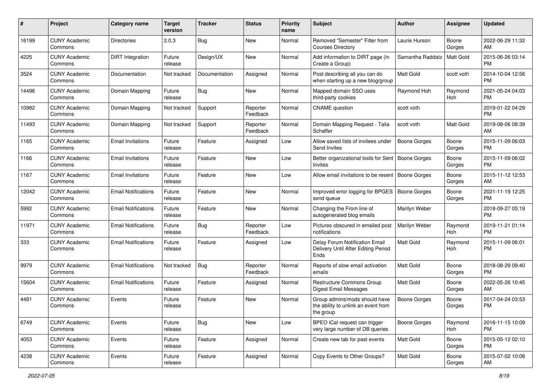| #     | Project                         | <b>Category name</b>       | <b>Target</b><br>version | <b>Tracker</b> | <b>Status</b>        | Priority<br>name | <b>Subject</b>                                                                    | <b>Author</b>       | <b>Assignee</b> | <b>Updated</b>                |
|-------|---------------------------------|----------------------------|--------------------------|----------------|----------------------|------------------|-----------------------------------------------------------------------------------|---------------------|-----------------|-------------------------------|
| 16199 | <b>CUNY Academic</b><br>Commons | <b>Directories</b>         | 2.0.3                    | Bug            | New                  | Normal           | Removed "Semester" Filter from<br><b>Courses Directory</b>                        | Laurie Hurson       | Boone<br>Gorges | 2022-06-29 11:32<br>AM        |
| 4225  | <b>CUNY Academic</b><br>Commons | DiRT Integration           | Future<br>release        | Design/UX      | New                  | Normal           | Add information to DIRT page (in<br>Create a Group)                               | Samantha Raddatz    | Matt Gold       | 2015-06-26 03:14<br><b>PM</b> |
| 3524  | <b>CUNY Academic</b><br>Commons | Documentation              | Not tracked              | Documentation  | Assigned             | Normal           | Post describing all you can do<br>when starting up a new blog/group               | Matt Gold           | scott voth      | 2014-10-04 12:56<br><b>PM</b> |
| 14496 | <b>CUNY Academic</b><br>Commons | Domain Mapping             | Future<br>release        | Bug            | New                  | Normal           | Mapped domain SSO uses<br>third-party cookies                                     | Raymond Hoh         | Raymond<br>Hoh  | 2021-05-24 04:03<br>PM.       |
| 10982 | <b>CUNY Academic</b><br>Commons | Domain Mapping             | Not tracked              | Support        | Reporter<br>Feedback | Normal           | <b>CNAME</b> question                                                             | scott voth          |                 | 2019-01-22 04:29<br><b>PM</b> |
| 11493 | <b>CUNY Academic</b><br>Commons | Domain Mapping             | Not tracked              | Support        | Reporter<br>Feedback | Normal           | Domain Mapping Request - Talia<br>Schaffer                                        | scott voth          | Matt Gold       | 2019-08-06 08:39<br>AM        |
| 1165  | <b>CUNY Academic</b><br>Commons | <b>Email Invitations</b>   | Future<br>release        | Feature        | Assigned             | Low              | Allow saved lists of invitees under<br>Send Invites                               | Boone Gorges        | Boone<br>Gorges | 2015-11-09 06:03<br>PM.       |
| 1166  | <b>CUNY Academic</b><br>Commons | <b>Email Invitations</b>   | Future<br>release        | Feature        | New                  | Low              | Better organizational tools for Sent<br>Invites                                   | Boone Gorges        | Boone<br>Gorges | 2015-11-09 06:02<br>PM.       |
| 1167  | <b>CUNY Academic</b><br>Commons | <b>Email Invitations</b>   | Future<br>release        | Feature        | New                  | Low              | Allow email invitations to be resent   Boone Gorges                               |                     | Boone<br>Gorges | 2015-11-12 12:53<br>AM        |
| 12042 | <b>CUNY Academic</b><br>Commons | <b>Email Notifications</b> | Future<br>release        | Feature        | New                  | Normal           | Improved error logging for BPGES<br>send queue                                    | <b>Boone Gorges</b> | Boone<br>Gorges | 2021-11-19 12:25<br><b>PM</b> |
| 5992  | <b>CUNY Academic</b><br>Commons | <b>Email Notifications</b> | Future<br>release        | Feature        | New                  | Normal           | Changing the From line of<br>autogenerated blog emails                            | Marilyn Weber       |                 | 2018-09-27 05:19<br><b>PM</b> |
| 11971 | <b>CUNY Academic</b><br>Commons | <b>Email Notifications</b> | Future<br>release        | Bug            | Reporter<br>Feedback | Low              | Pictures obscured in emailed post<br>notifications                                | Marilyn Weber       | Raymond<br>Hoh  | 2019-11-21 01:14<br><b>PM</b> |
| 333   | <b>CUNY Academic</b><br>Commons | <b>Email Notifications</b> | Future<br>release        | Feature        | Assigned             | Low              | Delay Forum Notification Email<br>Delivery Until After Editing Period<br>Ends     | <b>Matt Gold</b>    | Raymond<br>Hoh  | 2015-11-09 06:01<br><b>PM</b> |
| 9979  | <b>CUNY Academic</b><br>Commons | <b>Email Notifications</b> | Not tracked              | Bug            | Reporter<br>Feedback | Normal           | Reports of slow email activation<br>emails                                        | Matt Gold           | Boone<br>Gorges | 2018-08-29 09:40<br><b>PM</b> |
| 15604 | <b>CUNY Academic</b><br>Commons | <b>Email Notifications</b> | Future<br>release        | Feature        | Assigned             | Normal           | Restructure Commons Group<br><b>Digest Email Messages</b>                         | Matt Gold           | Boone<br>Gorges | 2022-05-26 10:45<br>AM.       |
| 4481  | <b>CUNY Academic</b><br>Commons | Events                     | Future<br>release        | Feature        | New                  | Normal           | Group admins/mods should have<br>the ability to unlink an event from<br>the group | <b>Boone Gorges</b> | Boone<br>Gorges | 2017-04-24 03:53<br><b>PM</b> |
| 6749  | <b>CUNY Academic</b><br>Commons | Events                     | Future<br>release        | <b>Bug</b>     | New                  | Low              | BPEO iCal request can trigger<br>very large number of DB queries                  | Boone Gorges        | Raymond<br>Hoh  | 2016-11-15 10:09<br>PM        |
| 4053  | <b>CUNY Academic</b><br>Commons | Events                     | Future<br>release        | Feature        | Assigned             | Normal           | Create new tab for past events                                                    | Matt Gold           | Boone<br>Gorges | 2015-05-12 02:10<br><b>PM</b> |
| 4238  | <b>CUNY Academic</b><br>Commons | Events                     | Future<br>release        | Feature        | Assigned             | Normal           | Copy Events to Other Groups?                                                      | Matt Gold           | Boone<br>Gorges | 2015-07-02 10:08<br>AM        |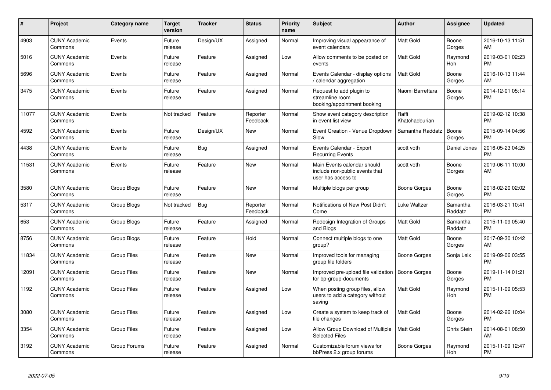| #     | Project                         | Category name      | <b>Target</b><br>version | <b>Tracker</b> | <b>Status</b>        | <b>Priority</b><br>name | <b>Subject</b>                                                                      | <b>Author</b>           | Assignee              | <b>Updated</b>                |
|-------|---------------------------------|--------------------|--------------------------|----------------|----------------------|-------------------------|-------------------------------------------------------------------------------------|-------------------------|-----------------------|-------------------------------|
| 4903  | <b>CUNY Academic</b><br>Commons | Events             | Future<br>release        | Design/UX      | Assigned             | Normal                  | Improving visual appearance of<br>event calendars                                   | Matt Gold               | Boone<br>Gorges       | 2016-10-13 11:51<br>AM        |
| 5016  | <b>CUNY Academic</b><br>Commons | Events             | Future<br>release        | Feature        | Assigned             | Low                     | Allow comments to be posted on<br>events                                            | <b>Matt Gold</b>        | Raymond<br><b>Hoh</b> | 2019-03-01 02:23<br><b>PM</b> |
| 5696  | <b>CUNY Academic</b><br>Commons | Events             | Future<br>release        | Feature        | Assigned             | Normal                  | Events Calendar - display options<br>/ calendar aggregation                         | Matt Gold               | Boone<br>Gorges       | 2016-10-13 11:44<br>AM        |
| 3475  | <b>CUNY Academic</b><br>Commons | Events             | Future<br>release        | Feature        | Assigned             | Normal                  | Request to add plugin to<br>streamline room<br>booking/appointment booking          | Naomi Barrettara        | Boone<br>Gorges       | 2014-12-01 05:14<br><b>PM</b> |
| 11077 | <b>CUNY Academic</b><br>Commons | Events             | Not tracked              | Feature        | Reporter<br>Feedback | Normal                  | Show event category description<br>in event list view                               | Raffi<br>Khatchadourian |                       | 2019-02-12 10:38<br><b>PM</b> |
| 4592  | <b>CUNY Academic</b><br>Commons | Events             | Future<br>release        | Design/UX      | <b>New</b>           | Normal                  | Event Creation - Venue Dropdown<br>Slow                                             | Samantha Raddatz        | Boone<br>Gorges       | 2015-09-14 04:56<br><b>PM</b> |
| 4438  | <b>CUNY Academic</b><br>Commons | Events             | Future<br>release        | Bug            | Assigned             | Normal                  | Events Calendar - Export<br><b>Recurring Events</b>                                 | scott voth              | Daniel Jones          | 2016-05-23 04:25<br>PM        |
| 11531 | <b>CUNY Academic</b><br>Commons | Events             | Future<br>release        | Feature        | <b>New</b>           | Normal                  | Main Events calendar should<br>include non-public events that<br>user has access to | scott voth              | Boone<br>Gorges       | 2019-06-11 10:00<br>AM        |
| 3580  | <b>CUNY Academic</b><br>Commons | Group Blogs        | Future<br>release        | Feature        | New                  | Normal                  | Multiple blogs per group                                                            | Boone Gorges            | Boone<br>Gorges       | 2018-02-20 02:02<br>PM        |
| 5317  | <b>CUNY Academic</b><br>Commons | Group Blogs        | Not tracked              | Bug            | Reporter<br>Feedback | Normal                  | Notifications of New Post Didn't<br>Come                                            | <b>Luke Waltzer</b>     | Samantha<br>Raddatz   | 2016-03-21 10:41<br><b>PM</b> |
| 653   | <b>CUNY Academic</b><br>Commons | Group Blogs        | Future<br>release        | Feature        | Assigned             | Normal                  | Redesign Integration of Groups<br>and Blogs                                         | Matt Gold               | Samantha<br>Raddatz   | 2015-11-09 05:40<br><b>PM</b> |
| 8756  | <b>CUNY Academic</b><br>Commons | Group Blogs        | Future<br>release        | Feature        | Hold                 | Normal                  | Connect multiple blogs to one<br>group?                                             | Matt Gold               | Boone<br>Gorges       | 2017-09-30 10:42<br>AM        |
| 11834 | <b>CUNY Academic</b><br>Commons | Group Files        | Future<br>release        | Feature        | <b>New</b>           | Normal                  | Improved tools for managing<br>group file folders                                   | Boone Gorges            | Sonja Leix            | 2019-09-06 03:55<br><b>PM</b> |
| 12091 | <b>CUNY Academic</b><br>Commons | <b>Group Files</b> | Future<br>release        | Feature        | <b>New</b>           | Normal                  | Improved pre-upload file validation<br>for bp-group-documents                       | Boone Gorges            | Boone<br>Gorges       | 2019-11-14 01:21<br><b>PM</b> |
| 1192  | <b>CUNY Academic</b><br>Commons | <b>Group Files</b> | Future<br>release        | Feature        | Assigned             | Low                     | When posting group files, allow<br>users to add a category without<br>saving        | Matt Gold               | Raymond<br><b>Hoh</b> | 2015-11-09 05:53<br><b>PM</b> |
| 3080  | <b>CUNY Academic</b><br>Commons | <b>Group Files</b> | Future<br>release        | Feature        | Assigned             | Low                     | Create a system to keep track of<br>file changes                                    | Matt Gold               | Boone<br>Gorges       | 2014-02-26 10:04<br><b>PM</b> |
| 3354  | <b>CUNY Academic</b><br>Commons | <b>Group Files</b> | Future<br>release        | Feature        | Assigned             | Low                     | Allow Group Download of Multiple<br><b>Selected Files</b>                           | <b>Matt Gold</b>        | Chris Stein           | 2014-08-01 08:50<br>AM        |
| 3192  | <b>CUNY Academic</b><br>Commons | Group Forums       | Future<br>release        | Feature        | Assigned             | Normal                  | Customizable forum views for<br>bbPress 2.x group forums                            | Boone Gorges            | Raymond<br>Hoh        | 2015-11-09 12:47<br><b>PM</b> |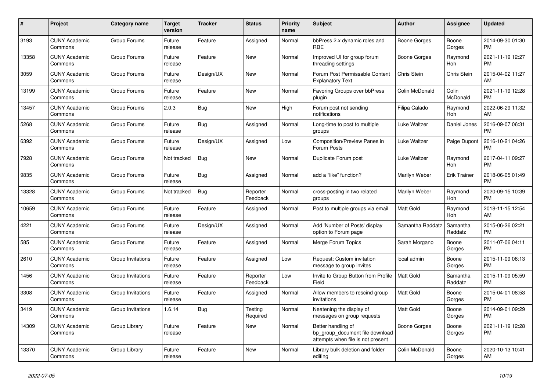| #     | <b>Project</b>                  | <b>Category name</b> | Target<br>version | <b>Tracker</b> | <b>Status</b>        | Priority<br>name | <b>Subject</b>                                                                             | <b>Author</b>    | Assignee            | <b>Updated</b>                |
|-------|---------------------------------|----------------------|-------------------|----------------|----------------------|------------------|--------------------------------------------------------------------------------------------|------------------|---------------------|-------------------------------|
| 3193  | <b>CUNY Academic</b><br>Commons | Group Forums         | Future<br>release | Feature        | Assigned             | Normal           | bbPress 2.x dynamic roles and<br><b>RBE</b>                                                | Boone Gorges     | Boone<br>Gorges     | 2014-09-30 01:30<br><b>PM</b> |
| 13358 | <b>CUNY Academic</b><br>Commons | Group Forums         | Future<br>release | Feature        | New                  | Normal           | Improved UI for group forum<br>threading settings                                          | Boone Gorges     | Raymond<br>Hoh      | 2021-11-19 12:27<br><b>PM</b> |
| 3059  | <b>CUNY Academic</b><br>Commons | Group Forums         | Future<br>release | Design/UX      | New                  | Normal           | Forum Post Permissable Content<br><b>Explanatory Text</b>                                  | Chris Stein      | Chris Stein         | 2015-04-02 11:27<br>AM        |
| 13199 | <b>CUNY Academic</b><br>Commons | Group Forums         | Future<br>release | Feature        | <b>New</b>           | Normal           | Favoring Groups over bbPress<br>plugin                                                     | Colin McDonald   | Colin<br>McDonald   | 2021-11-19 12:28<br><b>PM</b> |
| 13457 | <b>CUNY Academic</b><br>Commons | Group Forums         | 2.0.3             | Bug            | New                  | High             | Forum post not sending<br>notifications                                                    | Filipa Calado    | Raymond<br>Hoh      | 2022-06-29 11:32<br>AM        |
| 5268  | <b>CUNY Academic</b><br>Commons | Group Forums         | Future<br>release | <b>Bug</b>     | Assigned             | Normal           | Long-time to post to multiple<br>groups                                                    | Luke Waltzer     | Daniel Jones        | 2016-09-07 06:31<br><b>PM</b> |
| 6392  | <b>CUNY Academic</b><br>Commons | Group Forums         | Future<br>release | Design/UX      | Assigned             | Low              | Composition/Preview Panes in<br>Forum Posts                                                | Luke Waltzer     | Paige Dupont        | 2016-10-21 04:26<br><b>PM</b> |
| 7928  | <b>CUNY Academic</b><br>Commons | Group Forums         | Not tracked       | Bug            | New                  | Normal           | Duplicate Forum post                                                                       | Luke Waltzer     | Raymond<br>Hoh      | 2017-04-11 09:27<br><b>PM</b> |
| 9835  | <b>CUNY Academic</b><br>Commons | Group Forums         | Future<br>release | <b>Bug</b>     | Assigned             | Normal           | add a "like" function?                                                                     | Marilyn Weber    | <b>Erik Trainer</b> | 2018-06-05 01:49<br><b>PM</b> |
| 13328 | <b>CUNY Academic</b><br>Commons | Group Forums         | Not tracked       | <b>Bug</b>     | Reporter<br>Feedback | Normal           | cross-posting in two related<br>groups                                                     | Marilyn Weber    | Raymond<br>Hoh      | 2020-09-15 10:39<br><b>PM</b> |
| 10659 | <b>CUNY Academic</b><br>Commons | Group Forums         | Future<br>release | Feature        | Assigned             | Normal           | Post to multiple groups via email                                                          | Matt Gold        | Raymond<br>Hoh      | 2018-11-15 12:54<br>AM.       |
| 4221  | <b>CUNY Academic</b><br>Commons | Group Forums         | Future<br>release | Design/UX      | Assigned             | Normal           | Add 'Number of Posts' display<br>option to Forum page                                      | Samantha Raddatz | Samantha<br>Raddatz | 2015-06-26 02:21<br><b>PM</b> |
| 585   | <b>CUNY Academic</b><br>Commons | Group Forums         | Future<br>release | Feature        | Assigned             | Normal           | Merge Forum Topics                                                                         | Sarah Morgano    | Boone<br>Gorges     | 2011-07-06 04:11<br><b>PM</b> |
| 2610  | <b>CUNY Academic</b><br>Commons | Group Invitations    | Future<br>release | Feature        | Assigned             | Low              | Request: Custom invitation<br>message to group invites                                     | local admin      | Boone<br>Gorges     | 2015-11-09 06:13<br>PM.       |
| 1456  | <b>CUNY Academic</b><br>Commons | Group Invitations    | Future<br>release | Feature        | Reporter<br>Feedback | Low              | Invite to Group Button from Profile<br>Field                                               | <b>Matt Gold</b> | Samantha<br>Raddatz | 2015-11-09 05:59<br><b>PM</b> |
| 3308  | <b>CUNY Academic</b><br>Commons | Group Invitations    | Future<br>release | Feature        | Assigned             | Normal           | Allow members to rescind group<br>invitations                                              | Matt Gold        | Boone<br>Gorges     | 2015-04-01 08:53<br><b>PM</b> |
| 3419  | <b>CUNY Academic</b><br>Commons | Group Invitations    | 1.6.14            | Bug            | Testing<br>Required  | Normal           | Neatening the display of<br>messages on group requests                                     | Matt Gold        | Boone<br>Gorges     | 2014-09-01 09:29<br><b>PM</b> |
| 14309 | <b>CUNY Academic</b><br>Commons | Group Library        | Future<br>release | Feature        | <b>New</b>           | Normal           | Better handling of<br>bp group document file download<br>attempts when file is not present | Boone Gorges     | Boone<br>Gorges     | 2021-11-19 12:28<br><b>PM</b> |
| 13370 | <b>CUNY Academic</b><br>Commons | Group Library        | Future<br>release | Feature        | <b>New</b>           | Normal           | Library bulk deletion and folder<br>editing                                                | Colin McDonald   | Boone<br>Gorges     | 2020-10-13 10:41<br>AM        |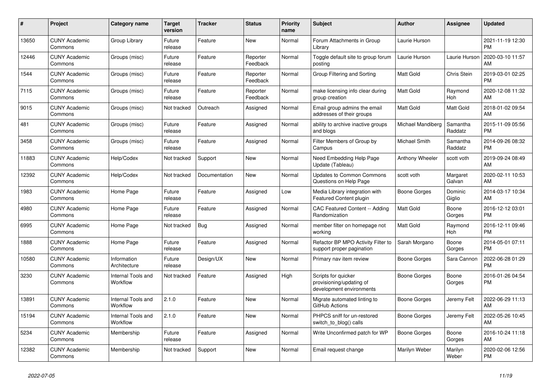| #     | Project                         | <b>Category name</b>           | <b>Target</b><br>version | <b>Tracker</b> | <b>Status</b>        | <b>Priority</b><br>name | <b>Subject</b>                                                              | <b>Author</b>     | Assignee            | <b>Updated</b>                |
|-------|---------------------------------|--------------------------------|--------------------------|----------------|----------------------|-------------------------|-----------------------------------------------------------------------------|-------------------|---------------------|-------------------------------|
| 13650 | <b>CUNY Academic</b><br>Commons | Group Library                  | Future<br>release        | Feature        | <b>New</b>           | Normal                  | Forum Attachments in Group<br>Library                                       | Laurie Hurson     |                     | 2021-11-19 12:30<br><b>PM</b> |
| 12446 | <b>CUNY Academic</b><br>Commons | Groups (misc)                  | Future<br>release        | Feature        | Reporter<br>Feedback | Normal                  | Toggle default site to group forum<br>posting                               | Laurie Hurson     | Laurie Hurson       | 2020-03-10 11:57<br>AM        |
| 1544  | <b>CUNY Academic</b><br>Commons | Groups (misc)                  | Future<br>release        | Feature        | Reporter<br>Feedback | Normal                  | Group Filtering and Sorting                                                 | Matt Gold         | Chris Stein         | 2019-03-01 02:25<br><b>PM</b> |
| 7115  | <b>CUNY Academic</b><br>Commons | Groups (misc)                  | Future<br>release        | Feature        | Reporter<br>Feedback | Normal                  | make licensing info clear during<br>group creation                          | <b>Matt Gold</b>  | Raymond<br>Hoh      | 2020-12-08 11:32<br>AM        |
| 9015  | <b>CUNY Academic</b><br>Commons | Groups (misc)                  | Not tracked              | Outreach       | Assigned             | Normal                  | Email group admins the email<br>addresses of their groups                   | Matt Gold         | Matt Gold           | 2018-01-02 09:54<br>AM        |
| 481   | <b>CUNY Academic</b><br>Commons | Groups (misc)                  | Future<br>release        | Feature        | Assigned             | Normal                  | ability to archive inactive groups<br>and blogs                             | Michael Mandiberg | Samantha<br>Raddatz | 2015-11-09 05:56<br><b>PM</b> |
| 3458  | <b>CUNY Academic</b><br>Commons | Groups (misc)                  | Future<br>release        | Feature        | Assigned             | Normal                  | Filter Members of Group by<br>Campus                                        | Michael Smith     | Samantha<br>Raddatz | 2014-09-26 08:32<br><b>PM</b> |
| 11883 | <b>CUNY Academic</b><br>Commons | Help/Codex                     | Not tracked              | Support        | New                  | Normal                  | Need Embedding Help Page<br>Update (Tableau)                                | Anthony Wheeler   | scott voth          | 2019-09-24 08:49<br>AM        |
| 12392 | <b>CUNY Academic</b><br>Commons | Help/Codex                     | Not tracked              | Documentation  | <b>New</b>           | Normal                  | <b>Updates to Common Commons</b><br>Questions on Help Page                  | scott voth        | Margaret<br>Galvan  | 2020-02-11 10:53<br>AM        |
| 1983  | <b>CUNY Academic</b><br>Commons | Home Page                      | Future<br>release        | Feature        | Assigned             | Low                     | Media Library integration with<br><b>Featured Content plugin</b>            | Boone Gorges      | Dominic<br>Giglio   | 2014-03-17 10:34<br>AM        |
| 4980  | <b>CUNY Academic</b><br>Commons | Home Page                      | Future<br>release        | Feature        | Assigned             | Normal                  | <b>CAC Featured Content -- Adding</b><br>Randomization                      | <b>Matt Gold</b>  | Boone<br>Gorges     | 2016-12-12 03:01<br><b>PM</b> |
| 6995  | <b>CUNY Academic</b><br>Commons | Home Page                      | Not tracked              | Bug            | Assigned             | Normal                  | member filter on homepage not<br>working                                    | <b>Matt Gold</b>  | Raymond<br>Hoh      | 2016-12-11 09:46<br><b>PM</b> |
| 1888  | <b>CUNY Academic</b><br>Commons | Home Page                      | Future<br>release        | Feature        | Assigned             | Normal                  | Refactor BP MPO Activity Filter to<br>support proper pagination             | Sarah Morgano     | Boone<br>Gorges     | 2014-05-01 07:11<br><b>PM</b> |
| 10580 | <b>CUNY Academic</b><br>Commons | Information<br>Architecture    | Future<br>release        | Design/UX      | <b>New</b>           | Normal                  | Primary nav item review                                                     | Boone Gorges      | Sara Cannon         | 2022-06-28 01:29<br><b>PM</b> |
| 3230  | <b>CUNY Academic</b><br>Commons | Internal Tools and<br>Workflow | Not tracked              | Feature        | Assigned             | High                    | Scripts for quicker<br>provisioning/updating of<br>development environments | Boone Gorges      | Boone<br>Gorges     | 2016-01-26 04:54<br><b>PM</b> |
| 13891 | <b>CUNY Academic</b><br>Commons | Internal Tools and<br>Workflow | 2.1.0                    | Feature        | <b>New</b>           | Normal                  | Migrate automated linting to<br>GitHub Actions                              | Boone Gorges      | Jeremy Felt         | 2022-06-29 11:13<br>AM        |
| 15194 | <b>CUNY Academic</b><br>Commons | Internal Tools and<br>Workflow | 2.1.0                    | Feature        | <b>New</b>           | Normal                  | PHPCS sniff for un-restored<br>switch to blog() calls                       | Boone Gorges      | Jeremy Felt         | 2022-05-26 10:45<br>AM        |
| 5234  | <b>CUNY Academic</b><br>Commons | Membership                     | Future<br>release        | Feature        | Assigned             | Normal                  | Write Unconfirmed patch for WP                                              | Boone Gorges      | Boone<br>Gorges     | 2016-10-24 11:18<br>AM        |
| 12382 | <b>CUNY Academic</b><br>Commons | Membership                     | Not tracked              | Support        | <b>New</b>           | Normal                  | Email request change                                                        | Marilyn Weber     | Marilyn<br>Weber    | 2020-02-06 12:56<br><b>PM</b> |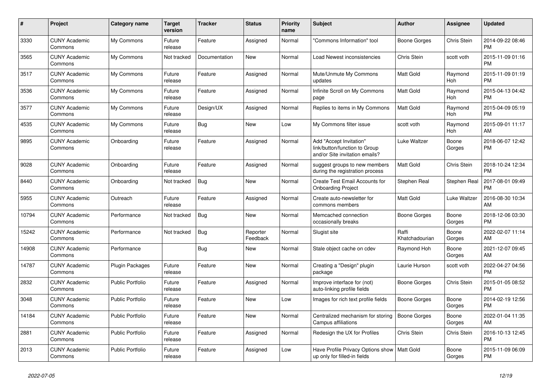| $\#$  | Project                         | Category name           | <b>Target</b><br>version | <b>Tracker</b> | <b>Status</b>        | <b>Priority</b><br>name | <b>Subject</b>                                                                             | <b>Author</b>           | Assignee        | <b>Updated</b>                |
|-------|---------------------------------|-------------------------|--------------------------|----------------|----------------------|-------------------------|--------------------------------------------------------------------------------------------|-------------------------|-----------------|-------------------------------|
| 3330  | <b>CUNY Academic</b><br>Commons | My Commons              | Future<br>release        | Feature        | Assigned             | Normal                  | 'Commons Information" tool                                                                 | Boone Gorges            | Chris Stein     | 2014-09-22 08:46<br><b>PM</b> |
| 3565  | <b>CUNY Academic</b><br>Commons | My Commons              | Not tracked              | Documentation  | New                  | Normal                  | Load Newest inconsistencies                                                                | Chris Stein             | scott voth      | 2015-11-09 01:16<br><b>PM</b> |
| 3517  | <b>CUNY Academic</b><br>Commons | My Commons              | Future<br>release        | Feature        | Assigned             | Normal                  | Mute/Unmute My Commons<br>updates                                                          | Matt Gold               | Raymond<br>Hoh  | 2015-11-09 01:19<br><b>PM</b> |
| 3536  | <b>CUNY Academic</b><br>Commons | My Commons              | Future<br>release        | Feature        | Assigned             | Normal                  | Infinite Scroll on My Commons<br>page                                                      | Matt Gold               | Raymond<br>Hoh  | 2015-04-13 04:42<br><b>PM</b> |
| 3577  | <b>CUNY Academic</b><br>Commons | My Commons              | Future<br>release        | Design/UX      | Assigned             | Normal                  | Replies to items in My Commons                                                             | Matt Gold               | Raymond<br>Hoh  | 2015-04-09 05:19<br><b>PM</b> |
| 4535  | <b>CUNY Academic</b><br>Commons | My Commons              | Future<br>release        | <b>Bug</b>     | New                  | Low                     | My Commons filter issue                                                                    | scott voth              | Raymond<br>Hoh  | 2015-09-01 11:17<br>AM        |
| 9895  | <b>CUNY Academic</b><br>Commons | Onboarding              | Future<br>release        | Feature        | Assigned             | Normal                  | Add "Accept Invitation"<br>link/button/function to Group<br>and/or Site invitation emails? | Luke Waltzer            | Boone<br>Gorges | 2018-06-07 12:42<br><b>PM</b> |
| 9028  | <b>CUNY Academic</b><br>Commons | Onboarding              | Future<br>release        | Feature        | Assigned             | Normal                  | suggest groups to new members<br>during the registration process                           | Matt Gold               | Chris Stein     | 2018-10-24 12:34<br><b>PM</b> |
| 8440  | <b>CUNY Academic</b><br>Commons | Onboarding              | Not tracked              | <b>Bug</b>     | New                  | Normal                  | Create Test Email Accounts for<br><b>Onboarding Project</b>                                | Stephen Real            | Stephen Real    | 2017-08-01 09:49<br><b>PM</b> |
| 5955  | <b>CUNY Academic</b><br>Commons | Outreach                | Future<br>release        | Feature        | Assigned             | Normal                  | Create auto-newsletter for<br>commons members                                              | Matt Gold               | Luke Waltzer    | 2016-08-30 10:34<br>AM        |
| 10794 | <b>CUNY Academic</b><br>Commons | Performance             | Not tracked              | Bug            | New                  | Normal                  | Memcached connection<br>occasionally breaks                                                | Boone Gorges            | Boone<br>Gorges | 2018-12-06 03:30<br><b>PM</b> |
| 15242 | <b>CUNY Academic</b><br>Commons | Performance             | Not tracked              | <b>Bug</b>     | Reporter<br>Feedback | Normal                  | Slugist site                                                                               | Raffi<br>Khatchadourian | Boone<br>Gorges | 2022-02-07 11:14<br>AM        |
| 14908 | <b>CUNY Academic</b><br>Commons | Performance             |                          | <b>Bug</b>     | New                  | Normal                  | Stale object cache on cdev                                                                 | Raymond Hoh             | Boone<br>Gorges | 2021-12-07 09:45<br>AM        |
| 14787 | <b>CUNY Academic</b><br>Commons | <b>Plugin Packages</b>  | Future<br>release        | Feature        | New                  | Normal                  | Creating a "Design" plugin<br>package                                                      | Laurie Hurson           | scott voth      | 2022-04-27 04:56<br><b>PM</b> |
| 2832  | <b>CUNY Academic</b><br>Commons | <b>Public Portfolio</b> | Future<br>release        | Feature        | Assigned             | Normal                  | Improve interface for (not)<br>auto-linking profile fields                                 | Boone Gorges            | Chris Stein     | 2015-01-05 08:52<br><b>PM</b> |
| 3048  | <b>CUNY Academic</b><br>Commons | <b>Public Portfolio</b> | Future<br>release        | Feature        | New                  | Low                     | Images for rich text profile fields                                                        | Boone Gorges            | Boone<br>Gorges | 2014-02-19 12:56<br><b>PM</b> |
| 14184 | <b>CUNY Academic</b><br>Commons | <b>Public Portfolio</b> | Future<br>release        | Feature        | <b>New</b>           | Normal                  | Centralized mechanism for storing<br><b>Campus affiliations</b>                            | <b>Boone Gorges</b>     | Boone<br>Gorges | 2022-01-04 11:35<br>AM        |
| 2881  | <b>CUNY Academic</b><br>Commons | <b>Public Portfolio</b> | Future<br>release        | Feature        | Assigned             | Normal                  | Redesign the UX for Profiles                                                               | Chris Stein             | Chris Stein     | 2016-10-13 12:45<br><b>PM</b> |
| 2013  | <b>CUNY Academic</b><br>Commons | Public Portfolio        | Future<br>release        | Feature        | Assigned             | Low                     | Have Profile Privacy Options show   Matt Gold<br>up only for filled-in fields              |                         | Boone<br>Gorges | 2015-11-09 06:09<br><b>PM</b> |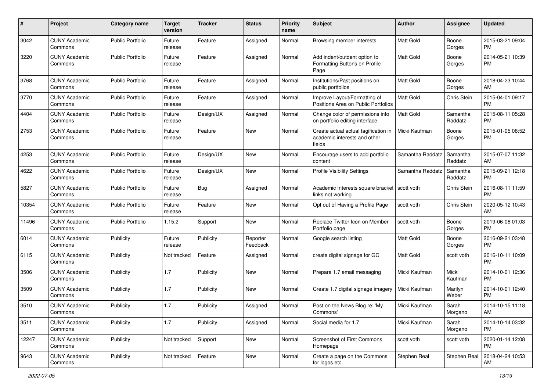| #     | Project                         | <b>Category name</b>    | <b>Target</b><br>version | <b>Tracker</b> | <b>Status</b>        | <b>Priority</b><br>name | Subject                                                                        | Author           | <b>Assignee</b>     | <b>Updated</b>                |
|-------|---------------------------------|-------------------------|--------------------------|----------------|----------------------|-------------------------|--------------------------------------------------------------------------------|------------------|---------------------|-------------------------------|
| 3042  | <b>CUNY Academic</b><br>Commons | <b>Public Portfolio</b> | Future<br>release        | Feature        | Assigned             | Normal                  | Browsing member interests                                                      | <b>Matt Gold</b> | Boone<br>Gorges     | 2015-03-21 09:04<br><b>PM</b> |
| 3220  | <b>CUNY Academic</b><br>Commons | <b>Public Portfolio</b> | Future<br>release        | Feature        | Assigned             | Normal                  | Add indent/outdent option to<br>Formatting Buttons on Profile<br>Page          | Matt Gold        | Boone<br>Gorges     | 2014-05-21 10:39<br><b>PM</b> |
| 3768  | <b>CUNY Academic</b><br>Commons | <b>Public Portfolio</b> | Future<br>release        | Feature        | Assigned             | Normal                  | Institutions/Past positions on<br>public portfolios                            | <b>Matt Gold</b> | Boone<br>Gorges     | 2018-04-23 10:44<br>AM        |
| 3770  | <b>CUNY Academic</b><br>Commons | Public Portfolio        | Future<br>release        | Feature        | Assigned             | Normal                  | Improve Layout/Formatting of<br>Positions Area on Public Portfolios            | <b>Matt Gold</b> | Chris Stein         | 2015-04-01 09:17<br><b>PM</b> |
| 4404  | <b>CUNY Academic</b><br>Commons | Public Portfolio        | Future<br>release        | Design/UX      | Assigned             | Normal                  | Change color of permissions info<br>on portfolio editing interface             | <b>Matt Gold</b> | Samantha<br>Raddatz | 2015-08-11 05:28<br><b>PM</b> |
| 2753  | <b>CUNY Academic</b><br>Commons | <b>Public Portfolio</b> | Future<br>release        | Feature        | New                  | Normal                  | Create actual actual tagification in<br>academic interests and other<br>fields | Micki Kaufman    | Boone<br>Gorges     | 2015-01-05 08:52<br><b>PM</b> |
| 4253  | <b>CUNY Academic</b><br>Commons | Public Portfolio        | Future<br>release        | Design/UX      | New                  | Normal                  | Encourage users to add portfolio<br>content                                    | Samantha Raddatz | Samantha<br>Raddatz | 2015-07-07 11:32<br>AM        |
| 4622  | <b>CUNY Academic</b><br>Commons | <b>Public Portfolio</b> | Future<br>release        | Design/UX      | New                  | Normal                  | <b>Profile Visibility Settings</b>                                             | Samantha Raddatz | Samantha<br>Raddatz | 2015-09-21 12:18<br><b>PM</b> |
| 5827  | <b>CUNY Academic</b><br>Commons | Public Portfolio        | Future<br>release        | <b>Bug</b>     | Assigned             | Normal                  | Academic Interests square bracket   scott voth<br>links not working            |                  | Chris Stein         | 2016-08-11 11:59<br><b>PM</b> |
| 10354 | <b>CUNY Academic</b><br>Commons | <b>Public Portfolio</b> | Future<br>release        | Feature        | New                  | Normal                  | Opt out of Having a Profile Page                                               | scott voth       | Chris Stein         | 2020-05-12 10:43<br>AM        |
| 11496 | <b>CUNY Academic</b><br>Commons | <b>Public Portfolio</b> | 1.15.2                   | Support        | New                  | Normal                  | Replace Twitter Icon on Member<br>Portfolio page                               | scott voth       | Boone<br>Gorges     | 2019-06-06 01:03<br><b>PM</b> |
| 6014  | <b>CUNY Academic</b><br>Commons | Publicity               | Future<br>release        | Publicity      | Reporter<br>Feedback | Normal                  | Google search listing                                                          | Matt Gold        | Boone<br>Gorges     | 2016-09-21 03:48<br><b>PM</b> |
| 6115  | <b>CUNY Academic</b><br>Commons | Publicity               | Not tracked              | Feature        | Assigned             | Normal                  | create digital signage for GC                                                  | <b>Matt Gold</b> | scott voth          | 2016-10-11 10:09<br><b>PM</b> |
| 3506  | <b>CUNY Academic</b><br>Commons | Publicity               | 1.7                      | Publicity      | New                  | Normal                  | Prepare 1.7 email messaging                                                    | Micki Kaufman    | Micki<br>Kaufman    | 2014-10-01 12:36<br><b>PM</b> |
| 3509  | <b>CUNY Academic</b><br>Commons | Publicity               | 1.7                      | Publicity      | New                  | Normal                  | Create 1.7 digital signage imagery                                             | Micki Kaufman    | Marilyn<br>Weber    | 2014-10-01 12:40<br><b>PM</b> |
| 3510  | <b>CUNY Academic</b><br>Commons | Publicity               | 1.7                      | Publicity      | Assigned             | Normal                  | Post on the News Blog re: 'My<br>Commons'                                      | Micki Kaufman    | Sarah<br>Morgano    | 2014-10-15 11:18<br>AM        |
| 3511  | <b>CUNY Academic</b><br>Commons | Publicity               | 1.7                      | Publicity      | Assigned             | Normal                  | Social media for 1.7                                                           | Micki Kaufman    | Sarah<br>Morgano    | 2014-10-14 03:32<br><b>PM</b> |
| 12247 | <b>CUNY Academic</b><br>Commons | Publicity               | Not tracked              | Support        | New                  | Normal                  | Screenshot of First Commons<br>Homepage                                        | scott voth       | scott voth          | 2020-01-14 12:08<br><b>PM</b> |
| 9643  | <b>CUNY Academic</b><br>Commons | Publicity               | Not tracked              | Feature        | New                  | Normal                  | Create a page on the Commons<br>for logos etc.                                 | Stephen Real     | Stephen Real        | 2018-04-24 10:53<br>AM        |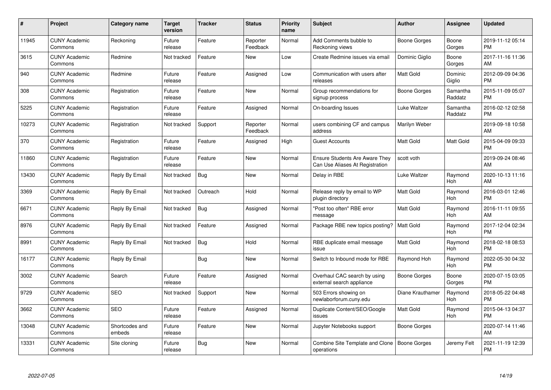| $\#$  | Project                         | <b>Category name</b>     | <b>Target</b><br>version | <b>Tracker</b> | <b>Status</b>        | <b>Priority</b><br>name | <b>Subject</b>                                                           | <b>Author</b>    | <b>Assignee</b>     | <b>Updated</b>                |
|-------|---------------------------------|--------------------------|--------------------------|----------------|----------------------|-------------------------|--------------------------------------------------------------------------|------------------|---------------------|-------------------------------|
| 11945 | <b>CUNY Academic</b><br>Commons | Reckoning                | Future<br>release        | Feature        | Reporter<br>Feedback | Normal                  | Add Comments bubble to<br>Reckoning views                                | Boone Gorges     | Boone<br>Gorges     | 2019-11-12 05:14<br><b>PM</b> |
| 3615  | <b>CUNY Academic</b><br>Commons | Redmine                  | Not tracked              | Feature        | <b>New</b>           | Low                     | Create Redmine issues via email                                          | Dominic Giglio   | Boone<br>Gorges     | 2017-11-16 11:36<br>AM        |
| 940   | <b>CUNY Academic</b><br>Commons | Redmine                  | Future<br>release        | Feature        | Assigned             | Low                     | Communication with users after<br>releases                               | Matt Gold        | Dominic<br>Giglio   | 2012-09-09 04:36<br><b>PM</b> |
| 308   | <b>CUNY Academic</b><br>Commons | Registration             | Future<br>release        | Feature        | <b>New</b>           | Normal                  | Group recommendations for<br>signup process                              | Boone Gorges     | Samantha<br>Raddatz | 2015-11-09 05:07<br><b>PM</b> |
| 5225  | <b>CUNY Academic</b><br>Commons | Registration             | Future<br>release        | Feature        | Assigned             | Normal                  | On-boarding Issues                                                       | Luke Waltzer     | Samantha<br>Raddatz | 2016-02-12 02:58<br><b>PM</b> |
| 10273 | <b>CUNY Academic</b><br>Commons | Registration             | Not tracked              | Support        | Reporter<br>Feedback | Normal                  | users combining CF and campus<br>address                                 | Marilyn Weber    |                     | 2019-09-18 10:58<br>AM        |
| 370   | <b>CUNY Academic</b><br>Commons | Registration             | Future<br>release        | Feature        | Assigned             | High                    | <b>Guest Accounts</b>                                                    | Matt Gold        | Matt Gold           | 2015-04-09 09:33<br><b>PM</b> |
| 11860 | <b>CUNY Academic</b><br>Commons | Registration             | Future<br>release        | Feature        | <b>New</b>           | Normal                  | <b>Ensure Students Are Aware They</b><br>Can Use Aliases At Registration | scott voth       |                     | 2019-09-24 08:46<br>AM        |
| 13430 | <b>CUNY Academic</b><br>Commons | Reply By Email           | Not tracked              | <b>Bug</b>     | <b>New</b>           | Normal                  | Delay in RBE                                                             | Luke Waltzer     | Raymond<br>Hoh      | 2020-10-13 11:16<br>AM        |
| 3369  | <b>CUNY Academic</b><br>Commons | Reply By Email           | Not tracked              | Outreach       | Hold                 | Normal                  | Release reply by email to WP<br>plugin directory                         | <b>Matt Gold</b> | Raymond<br>Hoh      | 2016-03-01 12:46<br><b>PM</b> |
| 6671  | <b>CUNY Academic</b><br>Commons | Reply By Email           | Not tracked              | Bug            | Assigned             | Normal                  | "Post too often" RBE error<br>message                                    | Matt Gold        | Raymond<br>Hoh      | 2016-11-11 09:55<br>AM        |
| 8976  | <b>CUNY Academic</b><br>Commons | Reply By Email           | Not tracked              | Feature        | Assigned             | Normal                  | Package RBE new topics posting?                                          | Matt Gold        | Raymond<br>Hoh      | 2017-12-04 02:34<br><b>PM</b> |
| 8991  | <b>CUNY Academic</b><br>Commons | Reply By Email           | Not tracked              | <b>Bug</b>     | Hold                 | Normal                  | RBE duplicate email message<br>issue                                     | Matt Gold        | Raymond<br>Hoh      | 2018-02-18 08:53<br><b>PM</b> |
| 16177 | <b>CUNY Academic</b><br>Commons | Reply By Email           |                          | Bug            | New                  | Normal                  | Switch to Inbound mode for RBE                                           | Raymond Hoh      | Raymond<br>Hoh      | 2022-05-30 04:32<br><b>PM</b> |
| 3002  | <b>CUNY Academic</b><br>Commons | Search                   | Future<br>release        | Feature        | Assigned             | Normal                  | Overhaul CAC search by using<br>external search appliance                | Boone Gorges     | Boone<br>Gorges     | 2020-07-15 03:05<br><b>PM</b> |
| 9729  | <b>CUNY Academic</b><br>Commons | <b>SEO</b>               | Not tracked              | Support        | <b>New</b>           | Normal                  | 503 Errors showing on<br>newlaborforum.cuny.edu                          | Diane Krauthamer | Raymond<br>Hoh      | 2018-05-22 04:48<br><b>PM</b> |
| 3662  | <b>CUNY Academic</b><br>Commons | <b>SEO</b>               | Future<br>release        | Feature        | Assigned             | Normal                  | Duplicate Content/SEO/Google<br>issues                                   | Matt Gold        | Raymond<br>Hoh      | 2015-04-13 04:37<br><b>PM</b> |
| 13048 | <b>CUNY Academic</b><br>Commons | Shortcodes and<br>embeds | Future<br>release        | Feature        | New                  | Normal                  | Jupyter Notebooks support                                                | Boone Gorges     |                     | 2020-07-14 11:46<br>AM        |
| 13331 | <b>CUNY Academic</b><br>Commons | Site cloning             | Future<br>release        | <b>Bug</b>     | <b>New</b>           | Normal                  | Combine Site Template and Clone<br>operations                            | Boone Gorges     | Jeremy Felt         | 2021-11-19 12:39<br><b>PM</b> |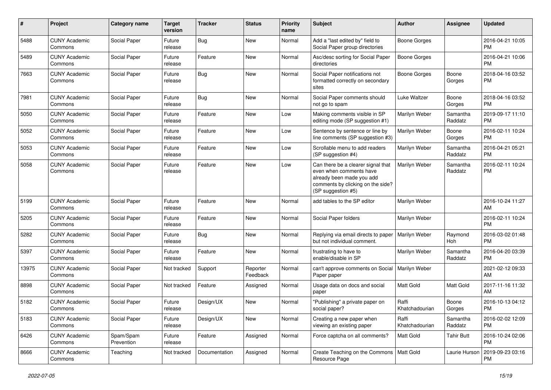| #     | Project                         | <b>Category name</b>    | <b>Target</b><br>version | <b>Tracker</b> | <b>Status</b>        | Priority<br>name | <b>Subject</b>                                                                                                                                        | Author                  | <b>Assignee</b>     | <b>Updated</b>                |
|-------|---------------------------------|-------------------------|--------------------------|----------------|----------------------|------------------|-------------------------------------------------------------------------------------------------------------------------------------------------------|-------------------------|---------------------|-------------------------------|
| 5488  | <b>CUNY Academic</b><br>Commons | Social Paper            | Future<br>release        | <b>Bug</b>     | New                  | Normal           | Add a "last edited by" field to<br>Social Paper group directories                                                                                     | <b>Boone Gorges</b>     |                     | 2016-04-21 10:05<br>PM.       |
| 5489  | <b>CUNY Academic</b><br>Commons | Social Paper            | Future<br>release        | Feature        | New                  | Normal           | Asc/desc sorting for Social Paper<br>directories                                                                                                      | <b>Boone Gorges</b>     |                     | 2016-04-21 10:06<br><b>PM</b> |
| 7663  | <b>CUNY Academic</b><br>Commons | Social Paper            | Future<br>release        | Bug            | New                  | Normal           | Social Paper notifications not<br>formatted correctly on secondary<br>sites                                                                           | Boone Gorges            | Boone<br>Gorges     | 2018-04-16 03:52<br><b>PM</b> |
| 7981  | <b>CUNY Academic</b><br>Commons | Social Paper            | Future<br>release        | Bug            | New                  | Normal           | Social Paper comments should<br>not go to spam                                                                                                        | Luke Waltzer            | Boone<br>Gorges     | 2018-04-16 03:52<br><b>PM</b> |
| 5050  | <b>CUNY Academic</b><br>Commons | Social Paper            | Future<br>release        | Feature        | New                  | Low              | Making comments visible in SP<br>editing mode (SP suggestion #1)                                                                                      | Marilyn Weber           | Samantha<br>Raddatz | 2019-09-17 11:10<br><b>PM</b> |
| 5052  | <b>CUNY Academic</b><br>Commons | Social Paper            | Future<br>release        | Feature        | New                  | Low              | Sentence by sentence or line by<br>line comments (SP suggestion #3)                                                                                   | Marilyn Weber           | Boone<br>Gorges     | 2016-02-11 10:24<br><b>PM</b> |
| 5053  | <b>CUNY Academic</b><br>Commons | Social Paper            | Future<br>release        | Feature        | New                  | Low              | Scrollable menu to add readers<br>(SP suggestion #4)                                                                                                  | Marilyn Weber           | Samantha<br>Raddatz | 2016-04-21 05:21<br><b>PM</b> |
| 5058  | <b>CUNY Academic</b><br>Commons | Social Paper            | Future<br>release        | Feature        | New                  | Low              | Can there be a clearer signal that<br>even when comments have<br>already been made you add<br>comments by clicking on the side?<br>(SP suggestion #5) | Marilyn Weber           | Samantha<br>Raddatz | 2016-02-11 10:24<br><b>PM</b> |
| 5199  | <b>CUNY Academic</b><br>Commons | Social Paper            | Future<br>release        | Feature        | New                  | Normal           | add tables to the SP editor                                                                                                                           | Marilyn Weber           |                     | 2016-10-24 11:27<br>AM.       |
| 5205  | <b>CUNY Academic</b><br>Commons | Social Paper            | Future<br>release        | Feature        | New                  | Normal           | Social Paper folders                                                                                                                                  | Marilyn Weber           |                     | 2016-02-11 10:24<br><b>PM</b> |
| 5282  | <b>CUNY Academic</b><br>Commons | Social Paper            | Future<br>release        | Bug            | New                  | Normal           | Replying via email directs to paper<br>but not individual comment.                                                                                    | Marilyn Weber           | Raymond<br>Hoh      | 2016-03-02 01:48<br><b>PM</b> |
| 5397  | <b>CUNY Academic</b><br>Commons | Social Paper            | Future<br>release        | Feature        | <b>New</b>           | Normal           | frustrating to have to<br>enable/disable in SP                                                                                                        | Marilyn Weber           | Samantha<br>Raddatz | 2016-04-20 03:39<br><b>PM</b> |
| 13975 | <b>CUNY Academic</b><br>Commons | Social Paper            | Not tracked              | Support        | Reporter<br>Feedback | Normal           | can't approve comments on Social<br>Paper paper                                                                                                       | Marilyn Weber           |                     | 2021-02-12 09:33<br>AM        |
| 8898  | <b>CUNY Academic</b><br>Commons | Social Paper            | Not tracked              | Feature        | Assigned             | Normal           | Usage data on docs and social<br>paper                                                                                                                | Matt Gold               | Matt Gold           | 2017-11-16 11:32<br>AM        |
| 5182  | <b>CUNY Academic</b><br>Commons | Social Paper            | Future<br>release        | Design/UX      | New                  | Normal           | "Publishing" a private paper on<br>social paper?                                                                                                      | Raffi<br>Khatchadourian | Boone<br>Gorges     | 2016-10-13 04:12<br><b>PM</b> |
| 5183  | <b>CUNY Academic</b><br>Commons | Social Paper            | Future<br>release        | Design/UX      | New                  | Normal           | Creating a new paper when<br>viewing an existing paper                                                                                                | Raffi<br>Khatchadourian | Samantha<br>Raddatz | 2016-02-02 12:09<br><b>PM</b> |
| 6426  | <b>CUNY Academic</b><br>Commons | Spam/Spam<br>Prevention | Future<br>release        | Feature        | Assigned             | Normal           | Force captcha on all comments?                                                                                                                        | Matt Gold               | <b>Tahir Butt</b>   | 2016-10-24 02:06<br><b>PM</b> |
| 8666  | <b>CUNY Academic</b><br>Commons | Teaching                | Not tracked              | Documentation  | Assigned             | Normal           | Create Teaching on the Commons   Matt Gold<br>Resource Page                                                                                           |                         | Laurie Hurson       | 2019-09-23 03:16<br>PM        |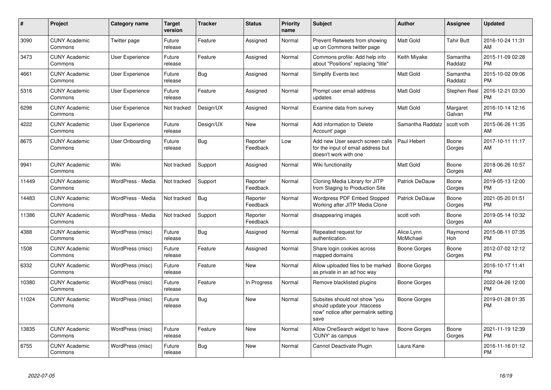| #     | <b>Project</b>                  | <b>Category name</b>   | <b>Target</b><br>version | <b>Tracker</b> | <b>Status</b>        | Priority<br>name | <b>Subject</b>                                                                                               | <b>Author</b>           | <b>Assignee</b>     | <b>Updated</b>                |
|-------|---------------------------------|------------------------|--------------------------|----------------|----------------------|------------------|--------------------------------------------------------------------------------------------------------------|-------------------------|---------------------|-------------------------------|
| 3090  | <b>CUNY Academic</b><br>Commons | Twitter page           | Future<br>release        | Feature        | Assigned             | Normal           | Prevent Retweets from showing<br>up on Commons twitter page                                                  | <b>Matt Gold</b>        | Tahir Butt          | 2016-10-24 11:31<br>AM        |
| 3473  | <b>CUNY Academic</b><br>Commons | User Experience        | Future<br>release        | Feature        | Assigned             | Normal           | Commons profile: Add help info<br>about "Positions" replacing "title"                                        | Keith Miyake            | Samantha<br>Raddatz | 2015-11-09 02:28<br><b>PM</b> |
| 4661  | <b>CUNY Academic</b><br>Commons | User Experience        | Future<br>release        | Bug            | Assigned             | Normal           | Simplify Events text                                                                                         | <b>Matt Gold</b>        | Samantha<br>Raddatz | 2015-10-02 09:06<br><b>PM</b> |
| 5316  | <b>CUNY Academic</b><br>Commons | User Experience        | Future<br>release        | Feature        | Assigned             | Normal           | Prompt user email address<br>updates                                                                         | <b>Matt Gold</b>        | Stephen Real        | 2016-12-21 03:30<br><b>PM</b> |
| 6298  | <b>CUNY Academic</b><br>Commons | User Experience        | Not tracked              | Design/UX      | Assigned             | Normal           | Examine data from survey                                                                                     | <b>Matt Gold</b>        | Margaret<br>Galvan  | 2016-10-14 12:16<br><b>PM</b> |
| 4222  | <b>CUNY Academic</b><br>Commons | User Experience        | Future<br>release        | Design/UX      | New                  | Normal           | Add information to 'Delete<br>Account' page                                                                  | Samantha Raddatz        | scott voth          | 2015-06-26 11:35<br>AM        |
| 8675  | <b>CUNY Academic</b><br>Commons | <b>User Onboarding</b> | Future<br>release        | <b>Bug</b>     | Reporter<br>Feedback | Low              | Add new User search screen calls<br>for the input of email address but<br>doesn't work with one              | Paul Hebert             | Boone<br>Gorges     | 2017-10-11 11:17<br>AM        |
| 9941  | <b>CUNY Academic</b><br>Commons | Wiki                   | Not tracked              | Support        | Assigned             | Normal           | Wiki functionality                                                                                           | <b>Matt Gold</b>        | Boone<br>Gorges     | 2018-06-26 10:57<br>AM        |
| 11449 | <b>CUNY Academic</b><br>Commons | WordPress - Media      | Not tracked              | Support        | Reporter<br>Feedback | Normal           | Cloning Media Library for JITP<br>from Staging to Production Site                                            | Patrick DeDauw          | Boone<br>Gorges     | 2019-05-13 12:00<br><b>PM</b> |
| 14483 | <b>CUNY Academic</b><br>Commons | WordPress - Media      | Not tracked              | <b>Bug</b>     | Reporter<br>Feedback | Normal           | <b>Wordpress PDF Embed Stopped</b><br>Working after JITP Media Clone                                         | Patrick DeDauw          | Boone<br>Gorges     | 2021-05-20 01:51<br><b>PM</b> |
| 11386 | <b>CUNY Academic</b><br>Commons | WordPress - Media      | Not tracked              | Support        | Reporter<br>Feedback | Normal           | disappearing images                                                                                          | scott voth              | Boone<br>Gorges     | 2019-05-14 10:32<br>AM        |
| 4388  | <b>CUNY Academic</b><br>Commons | WordPress (misc)       | Future<br>release        | Bug            | Assigned             | Normal           | Repeated request for<br>authentication.                                                                      | Alice.Lynn<br>McMichael | Raymond<br>Hoh      | 2015-08-11 07:35<br><b>PM</b> |
| 1508  | <b>CUNY Academic</b><br>Commons | WordPress (misc)       | Future<br>release        | Feature        | Assigned             | Normal           | Share login cookies across<br>mapped domains                                                                 | Boone Gorges            | Boone<br>Gorges     | 2012-07-02 12:12<br><b>PM</b> |
| 6332  | <b>CUNY Academic</b><br>Commons | WordPress (misc)       | Future<br>release        | Feature        | <b>New</b>           | Normal           | Allow uploaded files to be marked<br>as private in an ad hoc way                                             | Boone Gorges            |                     | 2016-10-17 11:41<br><b>PM</b> |
| 10380 | <b>CUNY Academic</b><br>Commons | WordPress (misc)       | Future<br>release        | Feature        | In Progress          | Normal           | Remove blacklisted plugins                                                                                   | Boone Gorges            |                     | 2022-04-26 12:00<br><b>PM</b> |
| 11024 | <b>CUNY Academic</b><br>Commons | WordPress (misc)       | Future<br>release        | Bug            | New                  | Normal           | Subsites should not show "you<br>should update your .htaccess<br>now" notice after permalink setting<br>save | Boone Gorges            |                     | 2019-01-28 01:35<br><b>PM</b> |
| 13835 | <b>CUNY Academic</b><br>Commons | WordPress (misc)       | Future<br>release        | Feature        | <b>New</b>           | Normal           | Allow OneSearch widget to have<br>'CUNY' as campus                                                           | Boone Gorges            | Boone<br>Gorges     | 2021-11-19 12:39<br><b>PM</b> |
| 6755  | <b>CUNY Academic</b><br>Commons | WordPress (misc)       | Future<br>release        | <b>Bug</b>     | <b>New</b>           | Normal           | Cannot Deactivate Plugin                                                                                     | Laura Kane              |                     | 2016-11-16 01:12<br><b>PM</b> |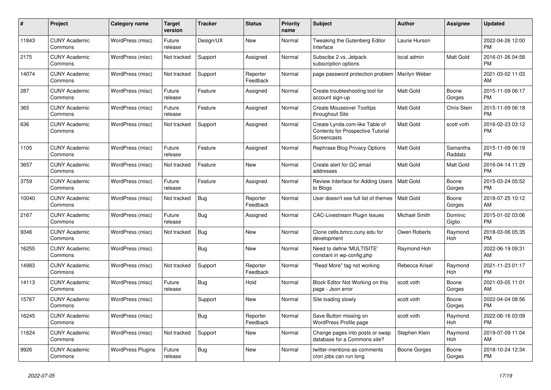| $\#$  | Project                         | <b>Category name</b>     | <b>Target</b><br>version | <b>Tracker</b> | <b>Status</b>        | <b>Priority</b><br>name | <b>Subject</b>                                                                            | <b>Author</b>    | <b>Assignee</b>     | <b>Updated</b>                |
|-------|---------------------------------|--------------------------|--------------------------|----------------|----------------------|-------------------------|-------------------------------------------------------------------------------------------|------------------|---------------------|-------------------------------|
| 11843 | <b>CUNY Academic</b><br>Commons | WordPress (misc)         | Future<br>release        | Design/UX      | <b>New</b>           | Normal                  | Tweaking the Gutenberg Editor<br>Interface                                                | Laurie Hurson    |                     | 2022-04-26 12:00<br><b>PM</b> |
| 2175  | <b>CUNY Academic</b><br>Commons | WordPress (misc)         | Not tracked              | Support        | Assigned             | Normal                  | Subscibe 2 vs. Jetpack<br>subscription options                                            | local admin      | Matt Gold           | 2016-01-26 04:58<br><b>PM</b> |
| 14074 | <b>CUNY Academic</b><br>Commons | WordPress (misc)         | Not tracked              | Support        | Reporter<br>Feedback | Normal                  | page password protection problem                                                          | Marilyn Weber    |                     | 2021-03-02 11:03<br>AM        |
| 287   | <b>CUNY Academic</b><br>Commons | WordPress (misc)         | Future<br>release        | Feature        | Assigned             | Normal                  | Create troubleshooting tool for<br>account sign-up                                        | Matt Gold        | Boone<br>Gorges     | 2015-11-09 06:17<br><b>PM</b> |
| 365   | <b>CUNY Academic</b><br>Commons | WordPress (misc)         | Future<br>release        | Feature        | Assigned             | Normal                  | <b>Create Mouseover Tooltips</b><br>throughout Site                                       | Matt Gold        | Chris Stein         | 2015-11-09 06:18<br><b>PM</b> |
| 636   | <b>CUNY Academic</b><br>Commons | WordPress (misc)         | Not tracked              | Support        | Assigned             | Normal                  | Create Lynda.com-like Table of<br><b>Contents for Prospective Tutorial</b><br>Screencasts | <b>Matt Gold</b> | scott voth          | 2016-02-23 03:12<br><b>PM</b> |
| 1105  | <b>CUNY Academic</b><br>Commons | WordPress (misc)         | Future<br>release        | Feature        | Assigned             | Normal                  | Rephrase Blog Privacy Options                                                             | Matt Gold        | Samantha<br>Raddatz | 2015-11-09 06:19<br><b>PM</b> |
| 3657  | <b>CUNY Academic</b><br>Commons | WordPress (misc)         | Not tracked              | Feature        | <b>New</b>           | Normal                  | Create alert for GC email<br>addresses                                                    | Matt Gold        | Matt Gold           | 2016-04-14 11:29<br><b>PM</b> |
| 3759  | <b>CUNY Academic</b><br>Commons | WordPress (misc)         | Future<br>release        | Feature        | Assigned             | Normal                  | Review Interface for Adding Users<br>to Blogs                                             | Matt Gold        | Boone<br>Gorges     | 2015-03-24 05:52<br><b>PM</b> |
| 10040 | <b>CUNY Academic</b><br>Commons | WordPress (misc)         | Not tracked              | <b>Bug</b>     | Reporter<br>Feedback | Normal                  | User doesn't see full list of themes                                                      | Matt Gold        | Boone<br>Gorges     | 2018-07-25 10:12<br>AM        |
| 2167  | <b>CUNY Academic</b><br>Commons | WordPress (misc)         | Future<br>release        | <b>Bug</b>     | Assigned             | Normal                  | <b>CAC-Livestream Plugin Issues</b>                                                       | Michael Smith    | Dominic<br>Giglio   | 2015-01-02 03:06<br><b>PM</b> |
| 9346  | <b>CUNY Academic</b><br>Commons | WordPress (misc)         | Not tracked              | Bug            | New                  | Normal                  | Clone cetls.bmcc.cuny.edu for<br>development                                              | Owen Roberts     | Raymond<br>Hoh      | 2018-03-06 05:35<br><b>PM</b> |
| 16255 | <b>CUNY Academic</b><br>Commons | WordPress (misc)         |                          | <b>Bug</b>     | New                  | Normal                  | Need to define 'MULTISITE'<br>constant in wp-config.php                                   | Raymond Hoh      |                     | 2022-06-19 09:31<br>AM        |
| 14983 | <b>CUNY Academic</b><br>Commons | WordPress (misc)         | Not tracked              | Support        | Reporter<br>Feedback | Normal                  | "Read More" tag not working                                                               | Rebecca Krisel   | Raymond<br>Hoh      | 2021-11-23 01:17<br><b>PM</b> |
| 14113 | <b>CUNY Academic</b><br>Commons | WordPress (misc)         | Future<br>release        | <b>Bug</b>     | Hold                 | Normal                  | Block Editor Not Working on this<br>page - Json error                                     | scott voth       | Boone<br>Gorges     | 2021-03-05 11:01<br>AM        |
| 15767 | <b>CUNY Academic</b><br>Commons | WordPress (misc)         |                          | Support        | <b>New</b>           | Normal                  | Site loading slowly                                                                       | scott voth       | Boone<br>Gorges     | 2022-04-04 08:56<br><b>PM</b> |
| 16245 | <b>CUNY Academic</b><br>Commons | WordPress (misc)         |                          | Bug            | Reporter<br>Feedback | Normal                  | Save Button missing on<br>WordPress Profile page                                          | scott voth       | Raymond<br>Hoh      | 2022-06-16 03:09<br><b>PM</b> |
| 11624 | <b>CUNY Academic</b><br>Commons | WordPress (misc)         | Not tracked              | Support        | <b>New</b>           | Normal                  | Change pages into posts or swap<br>database for a Commons site?                           | Stephen Klein    | Raymond<br>Hoh      | 2019-07-09 11:04<br>AM        |
| 9926  | <b>CUNY Academic</b><br>Commons | <b>WordPress Plugins</b> | Future<br>release        | <b>Bug</b>     | <b>New</b>           | Normal                  | twitter-mentions-as-comments<br>cron jobs can run long                                    | Boone Gorges     | Boone<br>Gorges     | 2018-10-24 12:34<br><b>PM</b> |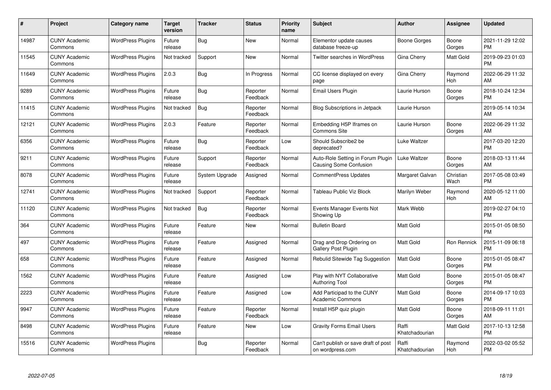| #     | Project                         | <b>Category name</b>     | <b>Target</b><br>version | <b>Tracker</b> | <b>Status</b>        | <b>Priority</b><br>name | <b>Subject</b>                                              | <b>Author</b>           | <b>Assignee</b>   | <b>Updated</b>                |
|-------|---------------------------------|--------------------------|--------------------------|----------------|----------------------|-------------------------|-------------------------------------------------------------|-------------------------|-------------------|-------------------------------|
| 14987 | <b>CUNY Academic</b><br>Commons | <b>WordPress Plugins</b> | Future<br>release        | Bug            | <b>New</b>           | Normal                  | Elementor update causes<br>database freeze-up               | Boone Gorges            | Boone<br>Gorges   | 2021-11-29 12:02<br><b>PM</b> |
| 11545 | <b>CUNY Academic</b><br>Commons | <b>WordPress Plugins</b> | Not tracked              | Support        | <b>New</b>           | Normal                  | <b>Twitter searches in WordPress</b>                        | Gina Cherry             | Matt Gold         | 2019-09-23 01:03<br><b>PM</b> |
| 11649 | <b>CUNY Academic</b><br>Commons | <b>WordPress Plugins</b> | 2.0.3                    | <b>Bug</b>     | In Progress          | Normal                  | CC license displayed on every<br>page                       | Gina Cherry             | Raymond<br>Hoh    | 2022-06-29 11:32<br>AM        |
| 9289  | <b>CUNY Academic</b><br>Commons | <b>WordPress Plugins</b> | Future<br>release        | Bug            | Reporter<br>Feedback | Normal                  | Email Users Plugin                                          | Laurie Hurson           | Boone<br>Gorges   | 2018-10-24 12:34<br><b>PM</b> |
| 11415 | <b>CUNY Academic</b><br>Commons | <b>WordPress Plugins</b> | Not tracked              | <b>Bug</b>     | Reporter<br>Feedback | Normal                  | <b>Blog Subscriptions in Jetpack</b>                        | Laurie Hurson           |                   | 2019-05-14 10:34<br>AM        |
| 12121 | <b>CUNY Academic</b><br>Commons | <b>WordPress Plugins</b> | 2.0.3                    | Feature        | Reporter<br>Feedback | Normal                  | Embedding H5P Iframes on<br>Commons Site                    | Laurie Hurson           | Boone<br>Gorges   | 2022-06-29 11:32<br>AM        |
| 6356  | <b>CUNY Academic</b><br>Commons | <b>WordPress Plugins</b> | Future<br>release        | <b>Bug</b>     | Reporter<br>Feedback | Low                     | Should Subscribe2 be<br>deprecated?                         | Luke Waltzer            |                   | 2017-03-20 12:20<br><b>PM</b> |
| 9211  | <b>CUNY Academic</b><br>Commons | <b>WordPress Plugins</b> | Future<br>release        | Support        | Reporter<br>Feedback | Normal                  | Auto-Role Setting in Forum Plugin<br>Causing Some Confusion | Luke Waltzer            | Boone<br>Gorges   | 2018-03-13 11:44<br>AM        |
| 8078  | <b>CUNY Academic</b><br>Commons | <b>WordPress Plugins</b> | Future<br>release        | System Upgrade | Assigned             | Normal                  | <b>CommentPress Updates</b>                                 | Margaret Galvan         | Christian<br>Wach | 2017-05-08 03:49<br><b>PM</b> |
| 12741 | <b>CUNY Academic</b><br>Commons | <b>WordPress Plugins</b> | Not tracked              | Support        | Reporter<br>Feedback | Normal                  | Tableau Public Viz Block                                    | Marilyn Weber           | Raymond<br>Hoh    | 2020-05-12 11:00<br>AM        |
| 11120 | <b>CUNY Academic</b><br>Commons | <b>WordPress Plugins</b> | Not tracked              | <b>Bug</b>     | Reporter<br>Feedback | Normal                  | Events Manager Events Not<br>Showing Up                     | Mark Webb               |                   | 2019-02-27 04:10<br><b>PM</b> |
| 364   | <b>CUNY Academic</b><br>Commons | <b>WordPress Plugins</b> | Future<br>release        | Feature        | <b>New</b>           | Normal                  | <b>Bulletin Board</b>                                       | Matt Gold               |                   | 2015-01-05 08:50<br><b>PM</b> |
| 497   | <b>CUNY Academic</b><br>Commons | <b>WordPress Plugins</b> | Future<br>release        | Feature        | Assigned             | Normal                  | Drag and Drop Ordering on<br>Gallery Post Plugin            | Matt Gold               | Ron Rennick       | 2015-11-09 06:18<br><b>PM</b> |
| 658   | <b>CUNY Academic</b><br>Commons | <b>WordPress Plugins</b> | Future<br>release        | Feature        | Assigned             | Normal                  | Rebulid Sitewide Tag Suggestion                             | <b>Matt Gold</b>        | Boone<br>Gorges   | 2015-01-05 08:47<br><b>PM</b> |
| 1562  | <b>CUNY Academic</b><br>Commons | <b>WordPress Plugins</b> | Future<br>release        | Feature        | Assigned             | Low                     | Play with NYT Collaborative<br><b>Authoring Tool</b>        | Matt Gold               | Boone<br>Gorges   | 2015-01-05 08:47<br><b>PM</b> |
| 2223  | <b>CUNY Academic</b><br>Commons | <b>WordPress Plugins</b> | Future<br>release        | Feature        | Assigned             | Low                     | Add Participad to the CUNY<br>Academic Commons              | Matt Gold               | Boone<br>Gorges   | 2014-09-17 10:03<br><b>PM</b> |
| 9947  | <b>CUNY Academic</b><br>Commons | <b>WordPress Plugins</b> | Future<br>release        | Feature        | Reporter<br>Feedback | Normal                  | Install H5P quiz plugin                                     | <b>Matt Gold</b>        | Boone<br>Gorges   | 2018-09-11 11:01<br>AM        |
| 8498  | <b>CUNY Academic</b><br>Commons | <b>WordPress Plugins</b> | Future<br>release        | Feature        | New                  | Low                     | <b>Gravity Forms Email Users</b>                            | Raffi<br>Khatchadourian | Matt Gold         | 2017-10-13 12:58<br><b>PM</b> |
| 15516 | <b>CUNY Academic</b><br>Commons | <b>WordPress Plugins</b> |                          | <b>Bug</b>     | Reporter<br>Feedback | Normal                  | Can't publish or save draft of post<br>on wordpress.com     | Raffi<br>Khatchadourian | Raymond<br>Hoh    | 2022-03-02 05:52<br><b>PM</b> |